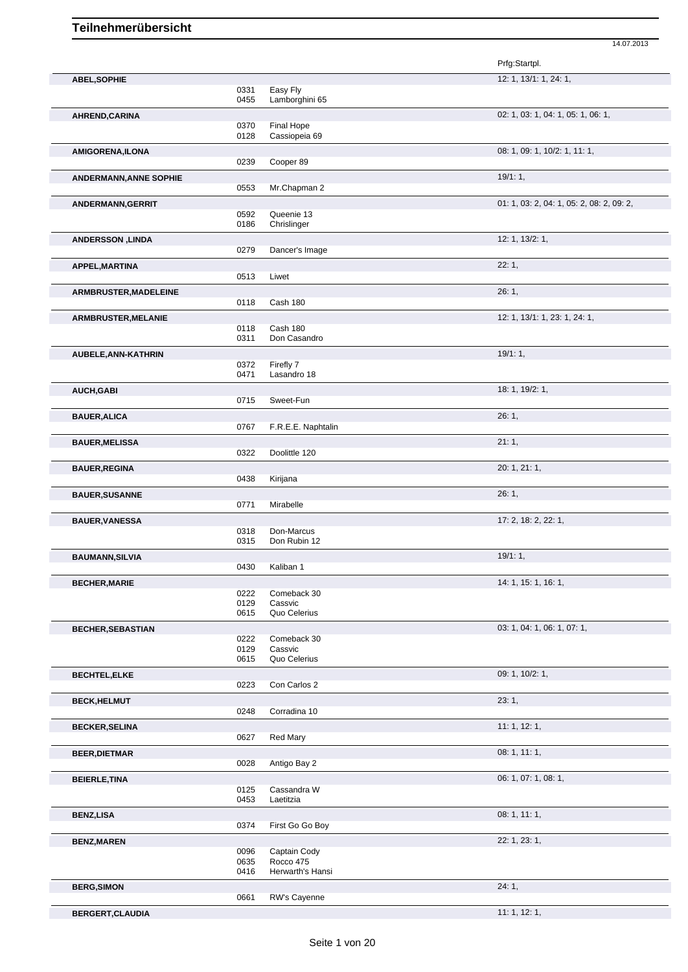|      |                                                                                                                                                                                                                                              | Prfg:Startpl.                                                                                                                                                                                                                                                                                                                                                                                                                                                                         |
|------|----------------------------------------------------------------------------------------------------------------------------------------------------------------------------------------------------------------------------------------------|---------------------------------------------------------------------------------------------------------------------------------------------------------------------------------------------------------------------------------------------------------------------------------------------------------------------------------------------------------------------------------------------------------------------------------------------------------------------------------------|
|      |                                                                                                                                                                                                                                              | 12: 1, 13/1: 1, 24: 1,                                                                                                                                                                                                                                                                                                                                                                                                                                                                |
|      |                                                                                                                                                                                                                                              |                                                                                                                                                                                                                                                                                                                                                                                                                                                                                       |
|      |                                                                                                                                                                                                                                              |                                                                                                                                                                                                                                                                                                                                                                                                                                                                                       |
|      |                                                                                                                                                                                                                                              | 02: 1, 03: 1, 04: 1, 05: 1, 06: 1,                                                                                                                                                                                                                                                                                                                                                                                                                                                    |
|      |                                                                                                                                                                                                                                              |                                                                                                                                                                                                                                                                                                                                                                                                                                                                                       |
|      |                                                                                                                                                                                                                                              |                                                                                                                                                                                                                                                                                                                                                                                                                                                                                       |
|      |                                                                                                                                                                                                                                              | 08: 1, 09: 1, 10/2: 1, 11: 1,                                                                                                                                                                                                                                                                                                                                                                                                                                                         |
|      |                                                                                                                                                                                                                                              |                                                                                                                                                                                                                                                                                                                                                                                                                                                                                       |
|      |                                                                                                                                                                                                                                              | 19/1:1,                                                                                                                                                                                                                                                                                                                                                                                                                                                                               |
|      |                                                                                                                                                                                                                                              |                                                                                                                                                                                                                                                                                                                                                                                                                                                                                       |
|      |                                                                                                                                                                                                                                              | 01: 1, 03: 2, 04: 1, 05: 2, 08: 2, 09: 2,                                                                                                                                                                                                                                                                                                                                                                                                                                             |
|      |                                                                                                                                                                                                                                              |                                                                                                                                                                                                                                                                                                                                                                                                                                                                                       |
|      |                                                                                                                                                                                                                                              | 12: 1, 13/2: 1,                                                                                                                                                                                                                                                                                                                                                                                                                                                                       |
|      |                                                                                                                                                                                                                                              |                                                                                                                                                                                                                                                                                                                                                                                                                                                                                       |
|      |                                                                                                                                                                                                                                              |                                                                                                                                                                                                                                                                                                                                                                                                                                                                                       |
|      |                                                                                                                                                                                                                                              | 22:1,                                                                                                                                                                                                                                                                                                                                                                                                                                                                                 |
|      |                                                                                                                                                                                                                                              |                                                                                                                                                                                                                                                                                                                                                                                                                                                                                       |
|      |                                                                                                                                                                                                                                              | 26:1,                                                                                                                                                                                                                                                                                                                                                                                                                                                                                 |
|      |                                                                                                                                                                                                                                              |                                                                                                                                                                                                                                                                                                                                                                                                                                                                                       |
|      |                                                                                                                                                                                                                                              | 12: 1, 13/1: 1, 23: 1, 24: 1,                                                                                                                                                                                                                                                                                                                                                                                                                                                         |
| 0311 | Don Casandro                                                                                                                                                                                                                                 |                                                                                                                                                                                                                                                                                                                                                                                                                                                                                       |
|      |                                                                                                                                                                                                                                              | 19/1:1,                                                                                                                                                                                                                                                                                                                                                                                                                                                                               |
|      |                                                                                                                                                                                                                                              |                                                                                                                                                                                                                                                                                                                                                                                                                                                                                       |
| 0471 | Lasandro 18                                                                                                                                                                                                                                  |                                                                                                                                                                                                                                                                                                                                                                                                                                                                                       |
|      |                                                                                                                                                                                                                                              | 18: 1, 19/2: 1,                                                                                                                                                                                                                                                                                                                                                                                                                                                                       |
| 0715 | Sweet-Fun                                                                                                                                                                                                                                    |                                                                                                                                                                                                                                                                                                                                                                                                                                                                                       |
|      |                                                                                                                                                                                                                                              | 26:1,                                                                                                                                                                                                                                                                                                                                                                                                                                                                                 |
| 0767 |                                                                                                                                                                                                                                              |                                                                                                                                                                                                                                                                                                                                                                                                                                                                                       |
|      |                                                                                                                                                                                                                                              | 21:1,                                                                                                                                                                                                                                                                                                                                                                                                                                                                                 |
|      |                                                                                                                                                                                                                                              |                                                                                                                                                                                                                                                                                                                                                                                                                                                                                       |
|      |                                                                                                                                                                                                                                              | 20: 1, 21: 1,                                                                                                                                                                                                                                                                                                                                                                                                                                                                         |
|      |                                                                                                                                                                                                                                              |                                                                                                                                                                                                                                                                                                                                                                                                                                                                                       |
|      |                                                                                                                                                                                                                                              |                                                                                                                                                                                                                                                                                                                                                                                                                                                                                       |
|      |                                                                                                                                                                                                                                              | 26:1,                                                                                                                                                                                                                                                                                                                                                                                                                                                                                 |
|      |                                                                                                                                                                                                                                              |                                                                                                                                                                                                                                                                                                                                                                                                                                                                                       |
|      |                                                                                                                                                                                                                                              | 17: 2, 18: 2, 22: 1,                                                                                                                                                                                                                                                                                                                                                                                                                                                                  |
|      | Don Rubin 12                                                                                                                                                                                                                                 |                                                                                                                                                                                                                                                                                                                                                                                                                                                                                       |
|      |                                                                                                                                                                                                                                              | 19/1:1,                                                                                                                                                                                                                                                                                                                                                                                                                                                                               |
| 0430 |                                                                                                                                                                                                                                              |                                                                                                                                                                                                                                                                                                                                                                                                                                                                                       |
|      |                                                                                                                                                                                                                                              | 14: 1, 15: 1, 16: 1,                                                                                                                                                                                                                                                                                                                                                                                                                                                                  |
|      |                                                                                                                                                                                                                                              |                                                                                                                                                                                                                                                                                                                                                                                                                                                                                       |
| 0129 | Cassvic                                                                                                                                                                                                                                      |                                                                                                                                                                                                                                                                                                                                                                                                                                                                                       |
| 0615 | Quo Celerius                                                                                                                                                                                                                                 |                                                                                                                                                                                                                                                                                                                                                                                                                                                                                       |
|      |                                                                                                                                                                                                                                              | 03: 1, 04: 1, 06: 1, 07: 1,                                                                                                                                                                                                                                                                                                                                                                                                                                                           |
| 0222 | Comeback 30                                                                                                                                                                                                                                  |                                                                                                                                                                                                                                                                                                                                                                                                                                                                                       |
|      |                                                                                                                                                                                                                                              |                                                                                                                                                                                                                                                                                                                                                                                                                                                                                       |
|      |                                                                                                                                                                                                                                              |                                                                                                                                                                                                                                                                                                                                                                                                                                                                                       |
|      |                                                                                                                                                                                                                                              | 09: 1, 10/2: 1,                                                                                                                                                                                                                                                                                                                                                                                                                                                                       |
|      |                                                                                                                                                                                                                                              |                                                                                                                                                                                                                                                                                                                                                                                                                                                                                       |
|      |                                                                                                                                                                                                                                              | 23:1,                                                                                                                                                                                                                                                                                                                                                                                                                                                                                 |
|      |                                                                                                                                                                                                                                              |                                                                                                                                                                                                                                                                                                                                                                                                                                                                                       |
|      |                                                                                                                                                                                                                                              | 11: 1, 12: 1,                                                                                                                                                                                                                                                                                                                                                                                                                                                                         |
|      |                                                                                                                                                                                                                                              |                                                                                                                                                                                                                                                                                                                                                                                                                                                                                       |
|      |                                                                                                                                                                                                                                              | 08: 1, 11: 1,                                                                                                                                                                                                                                                                                                                                                                                                                                                                         |
|      |                                                                                                                                                                                                                                              |                                                                                                                                                                                                                                                                                                                                                                                                                                                                                       |
|      |                                                                                                                                                                                                                                              | 06: 1, 07: 1, 08: 1,                                                                                                                                                                                                                                                                                                                                                                                                                                                                  |
| 0125 | Cassandra W                                                                                                                                                                                                                                  |                                                                                                                                                                                                                                                                                                                                                                                                                                                                                       |
|      |                                                                                                                                                                                                                                              |                                                                                                                                                                                                                                                                                                                                                                                                                                                                                       |
|      |                                                                                                                                                                                                                                              | 08: 1, 11: 1,                                                                                                                                                                                                                                                                                                                                                                                                                                                                         |
|      |                                                                                                                                                                                                                                              |                                                                                                                                                                                                                                                                                                                                                                                                                                                                                       |
|      |                                                                                                                                                                                                                                              | 22: 1, 23: 1,                                                                                                                                                                                                                                                                                                                                                                                                                                                                         |
| 0096 |                                                                                                                                                                                                                                              |                                                                                                                                                                                                                                                                                                                                                                                                                                                                                       |
|      |                                                                                                                                                                                                                                              |                                                                                                                                                                                                                                                                                                                                                                                                                                                                                       |
|      |                                                                                                                                                                                                                                              | 24:1,                                                                                                                                                                                                                                                                                                                                                                                                                                                                                 |
|      |                                                                                                                                                                                                                                              |                                                                                                                                                                                                                                                                                                                                                                                                                                                                                       |
|      |                                                                                                                                                                                                                                              |                                                                                                                                                                                                                                                                                                                                                                                                                                                                                       |
|      |                                                                                                                                                                                                                                              | 11: 1, 12: 1,                                                                                                                                                                                                                                                                                                                                                                                                                                                                         |
|      | 0331<br>0455<br>0370<br>0128<br>0239<br>0553<br>0592<br>0186<br>0279<br>0513<br>0118<br>0118<br>0372<br>0322<br>0438<br>0771<br>0318<br>0315<br>0222<br>0129<br>0615<br>0223<br>0248<br>0627<br>0028<br>0453<br>0374<br>0635<br>0416<br>0661 | Easy Fly<br>Lamborghini 65<br>Final Hope<br>Cassiopeia 69<br>Cooper 89<br>Mr.Chapman 2<br>Queenie 13<br>Chrislinger<br>Dancer's Image<br>Liwet<br>Cash 180<br>Cash 180<br>Firefly 7<br>F.R.E.E. Naphtalin<br>Doolittle 120<br>Kirijana<br>Mirabelle<br>Don-Marcus<br>Kaliban 1<br>Comeback 30<br>Cassvic<br>Quo Celerius<br>Con Carlos 2<br>Corradina 10<br>Red Mary<br>Antigo Bay 2<br>Laetitzia<br>First Go Go Boy<br>Captain Cody<br>Rocco 475<br>Herwarth's Hansi<br>RW's Cayenne |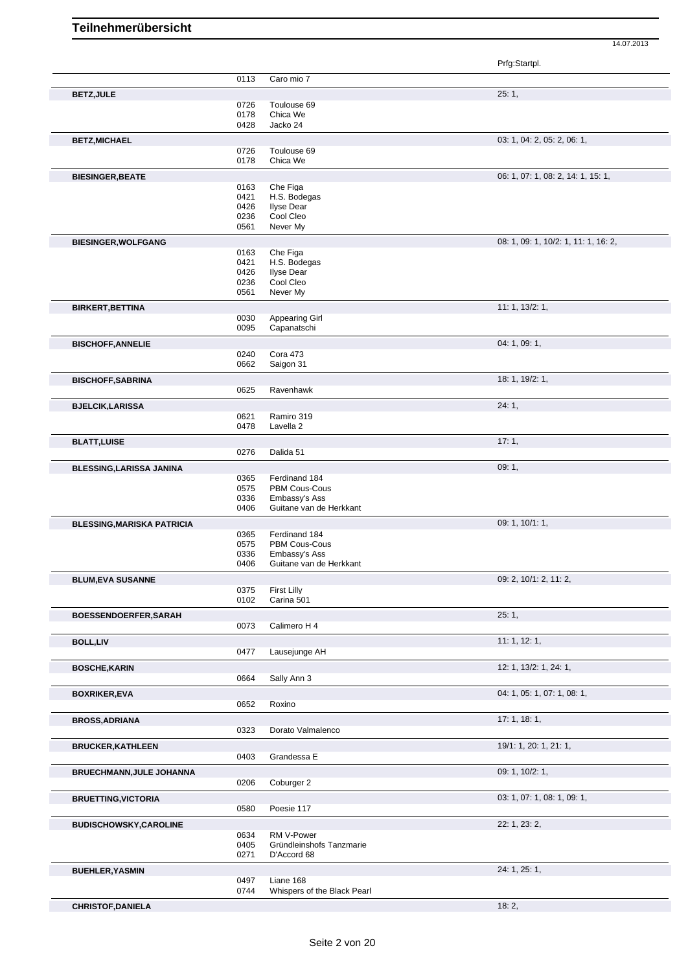| Prfg:Startpl. |  |
|---------------|--|
|               |  |

|                                   |              |                                  | .                                    |
|-----------------------------------|--------------|----------------------------------|--------------------------------------|
|                                   | 0113         | Caro mio 7                       |                                      |
|                                   |              |                                  |                                      |
| <b>BETZ, JULE</b>                 |              |                                  | 25:1,                                |
|                                   | 0726         | Toulouse 69                      |                                      |
|                                   | 0178<br>0428 | Chica We<br>Jacko 24             |                                      |
|                                   |              |                                  |                                      |
| <b>BETZ, MICHAEL</b>              |              |                                  | 03: 1, 04: 2, 05: 2, 06: 1,          |
|                                   | 0726         | Toulouse 69                      |                                      |
|                                   | 0178         | Chica We                         |                                      |
| <b>BIESINGER, BEATE</b>           |              |                                  | 06: 1, 07: 1, 08: 2, 14: 1, 15: 1,   |
|                                   | 0163         | Che Figa                         |                                      |
|                                   | 0421         | H.S. Bodegas                     |                                      |
|                                   | 0426         | <b>Ilyse Dear</b>                |                                      |
|                                   | 0236         | Cool Cleo                        |                                      |
|                                   | 0561         | Never My                         |                                      |
| <b>BIESINGER, WOLFGANG</b>        |              |                                  | 08: 1, 09: 1, 10/2: 1, 11: 1, 16: 2, |
|                                   | 0163         | Che Figa                         |                                      |
|                                   | 0421         | H.S. Bodegas                     |                                      |
|                                   | 0426         | <b>Ilyse Dear</b>                |                                      |
|                                   | 0236         | Cool Cleo                        |                                      |
|                                   | 0561         | Never My                         |                                      |
| <b>BIRKERT, BETTINA</b>           |              |                                  | 11: 1, 13/2: 1,                      |
|                                   | 0030         | <b>Appearing Girl</b>            |                                      |
|                                   | 0095         | Capanatschi                      |                                      |
|                                   |              |                                  |                                      |
| <b>BISCHOFF, ANNELIE</b>          |              |                                  | 04: 1, 09: 1,                        |
|                                   | 0240         | Cora 473                         |                                      |
|                                   | 0662         | Saigon 31                        |                                      |
| <b>BISCHOFF, SABRINA</b>          |              |                                  | 18: 1, 19/2: 1,                      |
|                                   | 0625         | Ravenhawk                        |                                      |
| <b>BJELCIK, LARISSA</b>           |              |                                  | 24:1,                                |
|                                   | 0621         | Ramiro 319                       |                                      |
|                                   | 0478         | Lavella <sub>2</sub>             |                                      |
|                                   |              |                                  |                                      |
| <b>BLATT, LUISE</b>               |              |                                  | 17:1,                                |
|                                   | 0276         | Dalida 51                        |                                      |
| <b>BLESSING, LARISSA JANINA</b>   |              |                                  | 09:1,                                |
|                                   | 0365         | Ferdinand 184                    |                                      |
|                                   | 0575         | PBM Cous-Cous                    |                                      |
|                                   | 0336         | Embassy's Ass                    |                                      |
|                                   | 0406         | Guitane van de Herkkant          |                                      |
| <b>BLESSING, MARISKA PATRICIA</b> |              |                                  | 09: 1, 10/1: 1,                      |
|                                   | 0365         | Ferdinand 184                    |                                      |
|                                   | 0575         | PBM Cous-Cous                    |                                      |
|                                   | 0336         | Embassy's Ass                    |                                      |
|                                   | 0406         | Guitane van de Herkkant          |                                      |
|                                   |              |                                  |                                      |
| <b>BLUM, EVA SUSANNE</b>          |              |                                  | 09: 2, 10/1: 2, 11: 2,               |
|                                   | 0375<br>0102 | <b>First Lilly</b><br>Carina 501 |                                      |
|                                   |              |                                  |                                      |
| BOESSENDOERFER, SARAH             |              |                                  | 25:1,                                |
|                                   | 0073         | Calimero H 4                     |                                      |
| <b>BOLL,LIV</b>                   |              |                                  | 11: 1, 12: 1,                        |
|                                   | 0477         | Lausejunge AH                    |                                      |
|                                   |              |                                  | 12: 1, 13/2: 1, 24: 1,               |
| <b>BOSCHE, KARIN</b>              |              |                                  |                                      |
|                                   | 0664         | Sally Ann 3                      |                                      |
| <b>BOXRIKER,EVA</b>               |              |                                  | 04: 1, 05: 1, 07: 1, 08: 1,          |
|                                   | 0652         | Roxino                           |                                      |
| <b>BROSS, ADRIANA</b>             |              |                                  | 17:1, 18:1,                          |
|                                   | 0323         | Dorato Valmalenco                |                                      |
|                                   |              |                                  |                                      |
| <b>BRUCKER, KATHLEEN</b>          |              |                                  | 19/1: 1, 20: 1, 21: 1,               |
|                                   | 0403         | Grandessa E                      |                                      |
| <b>BRUECHMANN, JULE JOHANNA</b>   |              |                                  | 09: 1, 10/2: 1,                      |
|                                   | 0206         | Coburger 2                       |                                      |
|                                   |              |                                  |                                      |
| <b>BRUETTING, VICTORIA</b>        |              |                                  | 03: 1, 07: 1, 08: 1, 09: 1,          |
|                                   | 0580         | Poesie 117                       |                                      |
| <b>BUDISCHOWSKY,CAROLINE</b>      |              |                                  | 22: 1, 23: 2,                        |
|                                   | 0634         | RM V-Power                       |                                      |
|                                   | 0405         | Gründleinshofs Tanzmarie         |                                      |
|                                   | 0271         | D'Accord 68                      |                                      |
| <b>BUEHLER, YASMIN</b>            |              |                                  | 24: 1, 25: 1,                        |
|                                   | 0497         | Liane 168                        |                                      |
|                                   | 0744         | Whispers of the Black Pearl      |                                      |
|                                   |              |                                  |                                      |
| <b>CHRISTOF, DANIELA</b>          |              |                                  | 18:2,                                |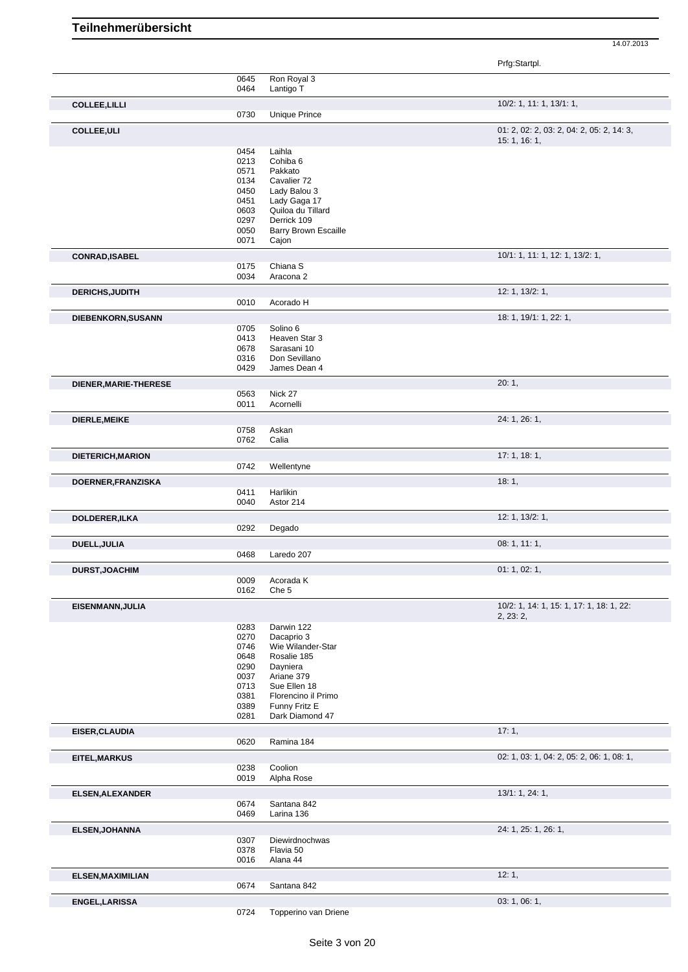|                        |              |                                  | Prfg:Startpl.                                              |
|------------------------|--------------|----------------------------------|------------------------------------------------------------|
|                        | 0645         | Ron Royal 3                      |                                                            |
|                        | 0464         | Lantigo T                        |                                                            |
| <b>COLLEE, LILLI</b>   |              |                                  | 10/2: 1, 11: 1, 13/1: 1,                                   |
|                        | 0730         | <b>Unique Prince</b>             |                                                            |
| <b>COLLEE, ULI</b>     |              |                                  | 01: 2, 02: 2, 03: 2, 04: 2, 05: 2, 14: 3,<br>15: 1, 16: 1, |
|                        | 0454         | Laihla                           |                                                            |
|                        | 0213         | Cohiba 6                         |                                                            |
|                        | 0571         | Pakkato                          |                                                            |
|                        | 0134         | Cavalier 72                      |                                                            |
|                        | 0450         | Lady Balou 3                     |                                                            |
|                        | 0451         | Lady Gaga 17                     |                                                            |
|                        | 0603         | Quiloa du Tillard                |                                                            |
|                        | 0297         | Derrick 109                      |                                                            |
|                        | 0050<br>0071 | <b>Barry Brown Escaille</b>      |                                                            |
|                        |              | Cajon                            |                                                            |
| <b>CONRAD, ISABEL</b>  |              |                                  | 10/1: 1, 11: 1, 12: 1, 13/2: 1,                            |
|                        | 0175<br>0034 | Chiana <sub>S</sub><br>Aracona 2 |                                                            |
| <b>DERICHS, JUDITH</b> |              |                                  | 12: 1, 13/2: 1,                                            |
|                        | 0010         | Acorado H                        |                                                            |
| DIEBENKORN, SUSANN     |              |                                  | 18: 1, 19/1: 1, 22: 1,                                     |
|                        | 0705         | Solino 6                         |                                                            |
|                        | 0413         | Heaven Star 3                    |                                                            |
|                        | 0678         | Sarasani 10                      |                                                            |
|                        | 0316         | Don Sevillano                    |                                                            |
|                        | 0429         | James Dean 4                     |                                                            |
| DIENER, MARIE-THERESE  |              |                                  | 20:1,                                                      |
|                        | 0563<br>0011 | Nick 27<br>Acornelli             |                                                            |
|                        |              |                                  |                                                            |
| DIERLE, MEIKE          | 0758         | Askan                            | 24: 1, 26: 1,                                              |
|                        | 0762         | Calia                            |                                                            |
| DIETERICH, MARION      |              |                                  | 17: 1, 18: 1,                                              |
|                        | 0742         | Wellentyne                       |                                                            |
| DOERNER, FRANZISKA     |              |                                  | 18:1,                                                      |
|                        | 0411         | Harlikin                         |                                                            |
|                        | 0040         | Astor 214                        |                                                            |
| DOLDERER, ILKA         |              |                                  | 12: 1, 13/2: 1,                                            |
|                        | 0292         | Degado                           |                                                            |
| DUELL, JULIA           |              |                                  | 08:1, 11:1,                                                |
|                        | 0468         | Laredo 207                       |                                                            |
| <b>DURST, JOACHIM</b>  |              |                                  | 01: 1, 02: 1,                                              |
|                        | 0009         | Acorada K                        |                                                            |
|                        | 0162         | Che 5                            |                                                            |
| EISENMANN, JULIA       |              |                                  | 10/2: 1, 14: 1, 15: 1, 17: 1, 18: 1, 22:                   |
|                        | 0283         | Darwin 122                       | 2, 23: 2,                                                  |
|                        | 0270         | Dacaprio 3                       |                                                            |
|                        | 0746         | Wie Wilander-Star                |                                                            |
|                        | 0648         | Rosalie 185                      |                                                            |
|                        | 0290         | Dayniera                         |                                                            |
|                        | 0037         | Ariane 379                       |                                                            |
|                        | 0713         | Sue Ellen 18                     |                                                            |
|                        | 0381         | Florencino il Primo              |                                                            |
|                        | 0389<br>0281 | Funny Fritz E<br>Dark Diamond 47 |                                                            |
|                        |              |                                  |                                                            |
| EISER, CLAUDIA         | 0620         | Ramina 184                       | 17:1,                                                      |
|                        |              |                                  | 02: 1, 03: 1, 04: 2, 05: 2, 06: 1, 08: 1,                  |
| EITEL, MARKUS          | 0238         | Coolion                          |                                                            |
|                        | 0019         | Alpha Rose                       |                                                            |
| ELSEN, ALEXANDER       |              |                                  | 13/1: 1, 24: 1,                                            |
|                        | 0674         | Santana 842                      |                                                            |
|                        | 0469         | Larina 136                       |                                                            |
| <b>ELSEN, JOHANNA</b>  |              |                                  | 24: 1, 25: 1, 26: 1,                                       |
|                        | 0307         | Diewirdnochwas                   |                                                            |
|                        | 0378<br>0016 | Flavia 50<br>Alana 44            |                                                            |
|                        |              |                                  |                                                            |
| ELSEN, MAXIMILIAN      | 0674         | Santana 842                      | 12:1,                                                      |
|                        |              |                                  |                                                            |
| ENGEL, LARISSA         |              |                                  | 03: 1, 06: 1,                                              |
|                        | 0724         | Topperino van Driene             |                                                            |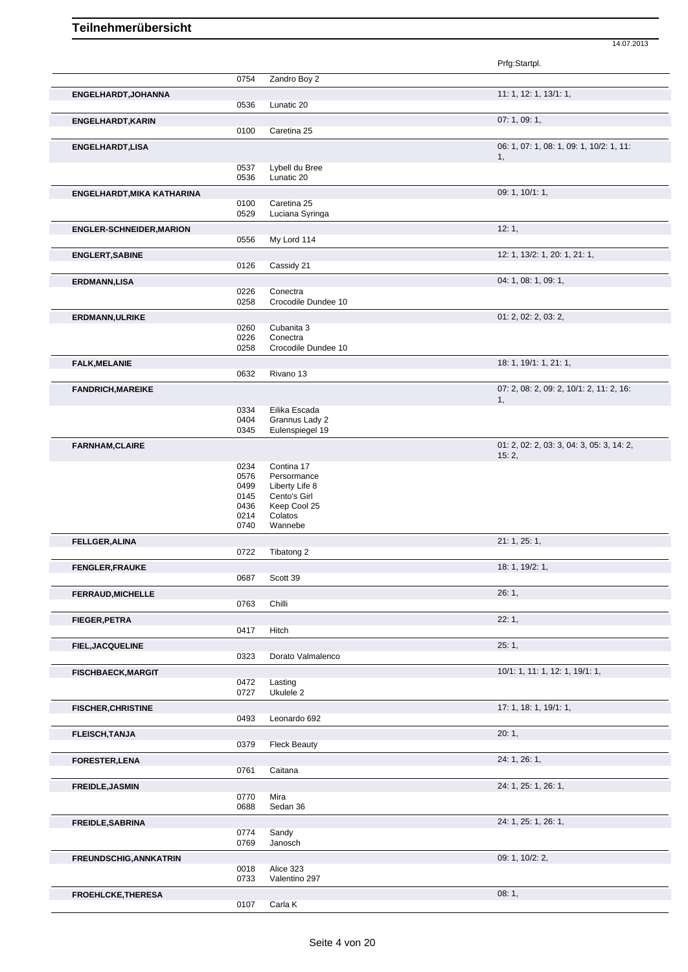|                                   |              |                                   | Prfg:Startpl.                             |
|-----------------------------------|--------------|-----------------------------------|-------------------------------------------|
|                                   | 0754         | Zandro Boy 2                      |                                           |
| ENGELHARDT, JOHANNA               |              |                                   | 11: 1, 12: 1, 13/1: 1,                    |
|                                   | 0536         | Lunatic 20                        |                                           |
| <b>ENGELHARDT, KARIN</b>          |              |                                   | 07:1,09:1,                                |
|                                   | 0100         | Caretina 25                       |                                           |
| <b>ENGELHARDT,LISA</b>            |              |                                   | 06: 1, 07: 1, 08: 1, 09: 1, 10/2: 1, 11:  |
|                                   | 0537         | Lybell du Bree                    | 1,                                        |
|                                   | 0536         | Lunatic 20                        |                                           |
| <b>ENGELHARDT, MIKA KATHARINA</b> |              |                                   | 09: 1, 10/1: 1,                           |
|                                   | 0100         | Caretina 25                       |                                           |
|                                   | 0529         | Luciana Syringa                   |                                           |
| <b>ENGLER-SCHNEIDER, MARION</b>   |              |                                   | 12:1,                                     |
|                                   | 0556         | My Lord 114                       |                                           |
| <b>ENGLERT, SABINE</b>            |              |                                   | 12: 1, 13/2: 1, 20: 1, 21: 1,             |
|                                   | 0126         | Cassidy 21                        |                                           |
| <b>ERDMANN,LISA</b>               |              |                                   | 04: 1, 08: 1, 09: 1,                      |
|                                   | 0226         | Conectra                          |                                           |
|                                   | 0258         | Crocodile Dundee 10               |                                           |
| <b>ERDMANN, ULRIKE</b>            |              |                                   | 01: 2, 02: 2, 03: 2,                      |
|                                   | 0260<br>0226 | Cubanita 3<br>Conectra            |                                           |
|                                   | 0258         | Crocodile Dundee 10               |                                           |
| <b>FALK, MELANIE</b>              |              |                                   | 18: 1, 19/1: 1, 21: 1,                    |
|                                   | 0632         | Rivano 13                         |                                           |
| <b>FANDRICH, MAREIKE</b>          |              |                                   | 07: 2, 08: 2, 09: 2, 10/1: 2, 11: 2, 16:  |
|                                   |              |                                   | 1,                                        |
|                                   | 0334<br>0404 | Eilika Escada                     |                                           |
|                                   | 0345         | Grannus Lady 2<br>Eulenspiegel 19 |                                           |
|                                   |              |                                   | 01: 2, 02: 2, 03: 3, 04: 3, 05: 3, 14: 2, |
| <b>FARNHAM, CLAIRE</b>            |              |                                   | 15:2,                                     |
|                                   | 0234         | Contina 17                        |                                           |
|                                   | 0576         | Persormance                       |                                           |
|                                   | 0499         | Liberty Life 8                    |                                           |
|                                   | 0145<br>0436 | Cento's Girl<br>Keep Cool 25      |                                           |
|                                   | 0214         | Colatos                           |                                           |
|                                   | 0740         | Wannebe                           |                                           |
| FELLGER, ALINA                    |              |                                   | 21: 1, 25: 1,                             |
|                                   | 0722         | Tibatong 2                        |                                           |
| <b>FENGLER, FRAUKE</b>            |              |                                   | 18: 1, 19/2: 1,                           |
|                                   | 0687         | Scott 39                          |                                           |
| <b>FERRAUD, MICHELLE</b>          |              |                                   | 26:1,                                     |
|                                   | 0763         | Chilli                            |                                           |
| <b>FIEGER, PETRA</b>              |              |                                   | 22:1,                                     |
|                                   | 0417         | Hitch                             |                                           |
| <b>FIEL, JACQUELINE</b>           |              |                                   | 25:1,                                     |
|                                   | 0323         | Dorato Valmalenco                 |                                           |
| <b>FISCHBAECK, MARGIT</b>         |              |                                   | 10/1: 1, 11: 1, 12: 1, 19/1: 1,           |
|                                   | 0472         | Lasting                           |                                           |
|                                   | 0727         | Ukulele 2                         |                                           |
| <b>FISCHER, CHRISTINE</b>         |              |                                   | 17: 1, 18: 1, 19/1: 1,                    |
|                                   | 0493         | Leonardo 692                      |                                           |
| <b>FLEISCH, TANJA</b>             |              |                                   | 20:1,                                     |
|                                   | 0379         | <b>Fleck Beauty</b>               |                                           |
| <b>FORESTER, LENA</b>             | 0761         |                                   | 24: 1, 26: 1,                             |
|                                   |              | Caitana                           |                                           |
| <b>FREIDLE, JASMIN</b>            |              |                                   | 24: 1, 25: 1, 26: 1,                      |
|                                   | 0770<br>0688 | Mira<br>Sedan 36                  |                                           |
|                                   |              |                                   |                                           |
| <b>FREIDLE, SABRINA</b>           | 0774         | Sandy                             | 24: 1, 25: 1, 26: 1,                      |
|                                   | 0769         | Janosch                           |                                           |
| <b>FREUNDSCHIG, ANNKATRIN</b>     |              |                                   | 09: 1, 10/2: 2,                           |
|                                   | 0018         | Alice 323                         |                                           |
|                                   | 0733         | Valentino 297                     |                                           |
| FROEHLCKE, THERESA                |              |                                   | 08:1,                                     |
|                                   |              |                                   |                                           |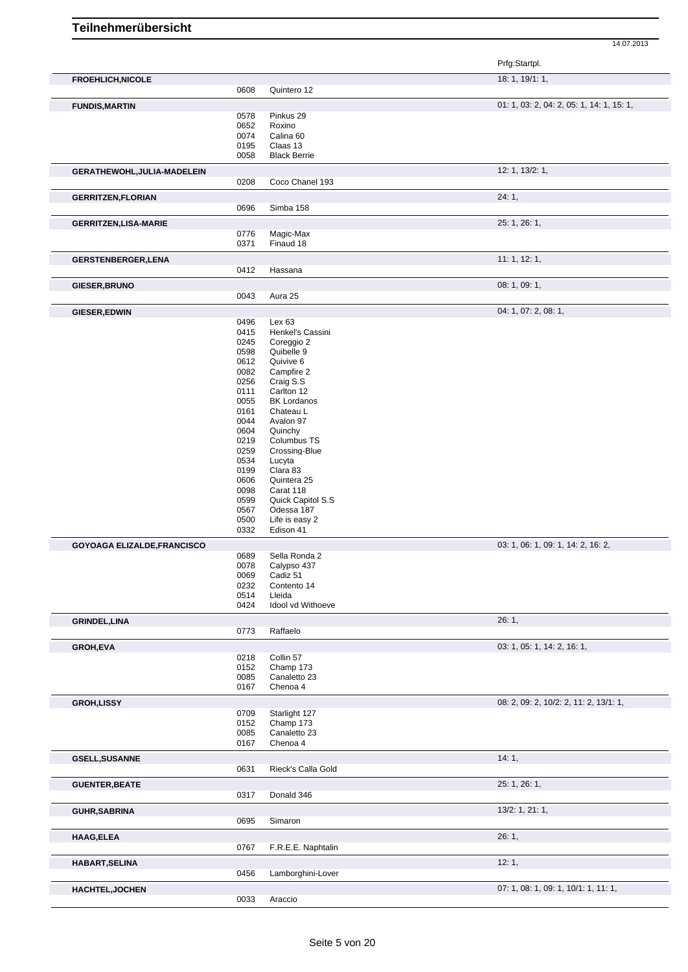|                                    |              |                         | Prfg:Startpl.                             |
|------------------------------------|--------------|-------------------------|-------------------------------------------|
| <b>FROEHLICH, NICOLE</b>           |              |                         | 18: 1, 19/1: 1,                           |
|                                    | 0608         | Quintero 12             |                                           |
| <b>FUNDIS, MARTIN</b>              |              |                         | 01: 1, 03: 2, 04: 2, 05: 1, 14: 1, 15: 1, |
|                                    | 0578         | Pinkus 29               |                                           |
|                                    | 0652         | Roxino                  |                                           |
|                                    | 0074<br>0195 | Calina 60<br>Claas 13   |                                           |
|                                    | 0058         | <b>Black Berrie</b>     |                                           |
| GERATHEWOHL, JULIA-MADELEIN        |              |                         | 12: 1, 13/2: 1,                           |
|                                    | 0208         | Coco Chanel 193         |                                           |
| <b>GERRITZEN, FLORIAN</b>          |              |                         | 24:1,                                     |
|                                    | 0696         | Simba 158               |                                           |
| <b>GERRITZEN, LISA-MARIE</b>       |              |                         | 25: 1, 26: 1,                             |
|                                    | 0776         | Magic-Max               |                                           |
|                                    | 0371         | Finaud 18               |                                           |
| <b>GERSTENBERGER, LENA</b>         |              |                         | 11:1, 12:1,                               |
|                                    | 0412         | Hassana                 |                                           |
| GIESER, BRUNO                      |              |                         | 08: 1, 09: 1,                             |
|                                    | 0043         | Aura 25                 |                                           |
| GIESER, EDWIN                      |              |                         | 04: 1, 07: 2, 08: 1,                      |
|                                    | 0496         | Lex <sub>63</sub>       |                                           |
|                                    | 0415         | Henkel's Cassini        |                                           |
|                                    | 0245         | Coreggio 2              |                                           |
|                                    | 0598         | Quibelle 9              |                                           |
|                                    | 0612<br>0082 | Quivive 6<br>Campfire 2 |                                           |
|                                    | 0256         | Craig S.S               |                                           |
|                                    | 0111         | Carlton 12              |                                           |
|                                    | 0055         | <b>BK Lordanos</b>      |                                           |
|                                    | 0161         | Chateau L               |                                           |
|                                    | 0044         | Avalon 97               |                                           |
|                                    | 0604         | Quinchy                 |                                           |
|                                    | 0219         | Columbus TS             |                                           |
|                                    | 0259         | Crossing-Blue           |                                           |
|                                    | 0534         | Lucyta                  |                                           |
|                                    | 0199         | Clara 83                |                                           |
|                                    | 0606         | Quintera 25             |                                           |
|                                    | 0098         | Carat 118               |                                           |
|                                    | 0599         | Quick Capitol S.S       |                                           |
|                                    | 0567         | Odessa 187              |                                           |
|                                    | 0500         | Life is easy 2          |                                           |
|                                    | 0332         | Edison 41               |                                           |
| <b>GOYOAGA ELIZALDE, FRANCISCO</b> |              |                         | 03: 1, 06: 1, 09: 1, 14: 2, 16: 2,        |
|                                    | 0689         | Sella Ronda 2           |                                           |
|                                    | 0078         | Calypso 437             |                                           |
|                                    | 0069         | Cadiz 51                |                                           |
|                                    | 0232         | Contento 14             |                                           |
|                                    | 0514         | Lleida                  |                                           |
|                                    | 0424         | Idool vd Withoeve       |                                           |
| <b>GRINDEL, LINA</b>               | 0773         | Raffaelo                | 26:1,                                     |
|                                    |              |                         |                                           |
| GROH, EVA                          |              | Collin 57               | 03: 1, 05: 1, 14: 2, 16: 1,               |
|                                    | 0218         | Champ 173               |                                           |
|                                    | 0152<br>0085 | Canaletto 23            |                                           |
|                                    | 0167         | Chenoa 4                |                                           |
| <b>GROH,LISSY</b>                  |              |                         | 08: 2, 09: 2, 10/2: 2, 11: 2, 13/1: 1,    |
|                                    | 0709         | Starlight 127           |                                           |
|                                    | 0152         | Champ 173               |                                           |
|                                    | 0085         | Canaletto 23            |                                           |
|                                    | 0167         | Chenoa 4                |                                           |
| <b>GSELL, SUSANNE</b>              |              |                         | 14:1,                                     |
|                                    | 0631         | Rieck's Calla Gold      |                                           |
| <b>GUENTER, BEATE</b>              |              |                         | 25: 1, 26: 1,                             |
|                                    | 0317         | Donald 346              |                                           |
| <b>GUHR, SABRINA</b>               |              |                         | 13/2: 1, 21: 1,                           |
|                                    | 0695         | Simaron                 |                                           |
| HAAG, ELEA                         |              |                         | 26:1,                                     |
|                                    | 0767         | F.R.E.E. Naphtalin      |                                           |
| HABART, SELINA                     |              |                         | 12:1,                                     |
|                                    | 0456         | Lamborghini-Lover       |                                           |
| <b>HACHTEL, JOCHEN</b>             | 0033         | Araccio                 | 07: 1, 08: 1, 09: 1, 10/1: 1, 11: 1,      |
|                                    |              |                         |                                           |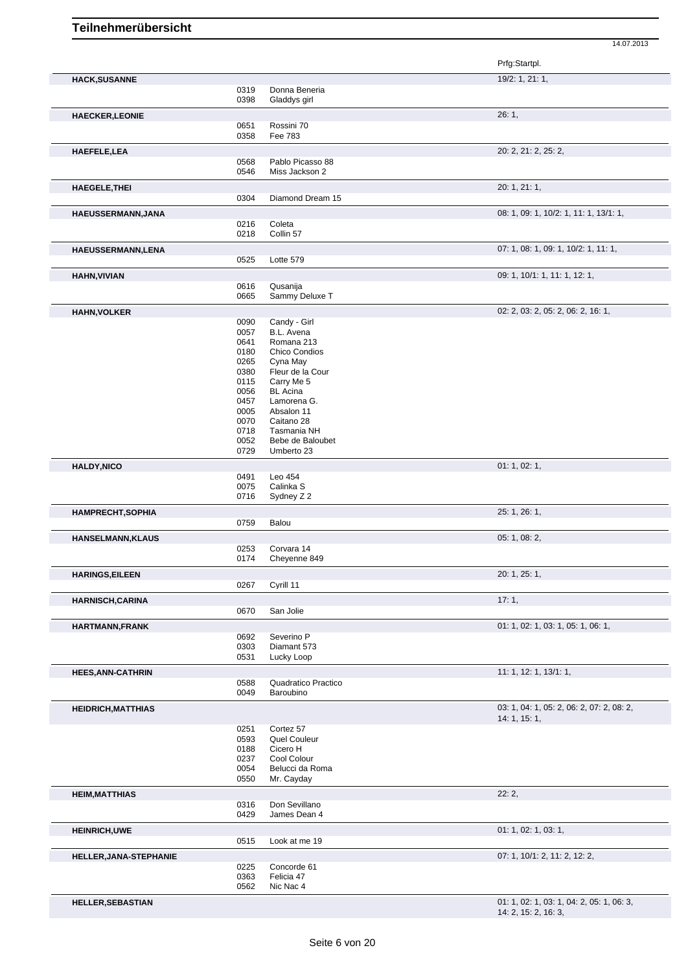|                           |              |                                | Prfg:Startpl.                             |
|---------------------------|--------------|--------------------------------|-------------------------------------------|
| <b>HACK, SUSANNE</b>      |              |                                | 19/2: 1, 21: 1,                           |
|                           | 0319         | Donna Beneria                  |                                           |
|                           | 0398         | Gladdys girl                   |                                           |
| <b>HAECKER, LEONIE</b>    |              |                                | 26:1,                                     |
|                           | 0651         | Rossini 70                     |                                           |
|                           | 0358         | Fee 783                        |                                           |
| <b>HAEFELE,LEA</b>        |              |                                | 20: 2, 21: 2, 25: 2,                      |
|                           | 0568         | Pablo Picasso 88               |                                           |
|                           | 0546         | Miss Jackson 2                 |                                           |
| <b>HAEGELE, THEI</b>      |              |                                | 20: 1, 21: 1,                             |
|                           | 0304         | Diamond Dream 15               |                                           |
| HAEUSSERMANN, JANA        |              |                                | 08: 1, 09: 1, 10/2: 1, 11: 1, 13/1: 1,    |
|                           | 0216         | Coleta                         |                                           |
|                           | 0218         | Collin 57                      |                                           |
| HAEUSSERMANN, LENA        |              |                                | 07: 1, 08: 1, 09: 1, 10/2: 1, 11: 1,      |
|                           | 0525         | Lotte 579                      |                                           |
| <b>HAHN, VIVIAN</b>       |              |                                | 09: 1, 10/1: 1, 11: 1, 12: 1,             |
|                           | 0616         | Qusanija                       |                                           |
|                           | 0665         | Sammy Deluxe T                 |                                           |
| <b>HAHN, VOLKER</b>       |              |                                | 02: 2, 03: 2, 05: 2, 06: 2, 16: 1,        |
|                           | 0090         | Candy - Girl                   |                                           |
|                           | 0057         | B.L. Avena                     |                                           |
|                           | 0641         | Romana 213                     |                                           |
|                           | 0180<br>0265 | Chico Condios                  |                                           |
|                           | 0380         | Cyna May<br>Fleur de la Cour   |                                           |
|                           | 0115         | Carry Me 5                     |                                           |
|                           | 0056         | <b>BL</b> Acina                |                                           |
|                           | 0457         | Lamorena G.                    |                                           |
|                           | 0005         | Absalon 11                     |                                           |
|                           | 0070         | Caitano 28                     |                                           |
|                           | 0718         | Tasmania NH                    |                                           |
|                           | 0052<br>0729 | Bebe de Baloubet<br>Umberto 23 |                                           |
|                           |              |                                |                                           |
| <b>HALDY, NICO</b>        | 0491         | Leo 454                        | 01: 1, 02: 1,                             |
|                           | 0075         | Calinka S                      |                                           |
|                           | 0716         | Sydney Z 2                     |                                           |
| <b>HAMPRECHT, SOPHIA</b>  |              |                                | 25: 1, 26: 1,                             |
|                           | 0759         | Balou                          |                                           |
|                           |              |                                |                                           |
| <b>HANSELMANN, KLAUS</b>  | 0253         | Corvara 14                     | 05: 1, 08: 2,                             |
|                           | 0174         | Cheyenne 849                   |                                           |
|                           |              |                                |                                           |
| <b>HARINGS, EILEEN</b>    | 0267         | Cyrill 11                      | 20: 1, 25: 1,                             |
|                           |              |                                |                                           |
| <b>HARNISCH, CARINA</b>   |              |                                | 17:1,                                     |
|                           | 0670         | San Jolie                      |                                           |
| <b>HARTMANN,FRANK</b>     |              |                                | 01: 1, 02: 1, 03: 1, 05: 1, 06: 1,        |
|                           | 0692         | Severino P                     |                                           |
|                           | 0303<br>0531 | Diamant 573<br>Lucky Loop      |                                           |
|                           |              |                                |                                           |
| <b>HEES, ANN-CATHRIN</b>  | 0588         | Quadratico Practico            | 11: 1, 12: 1, 13/1: 1,                    |
|                           | 0049         | Baroubino                      |                                           |
|                           |              |                                | 03: 1, 04: 1, 05: 2, 06: 2, 07: 2, 08: 2, |
| <b>HEIDRICH, MATTHIAS</b> |              |                                | 14: 1, 15: 1,                             |
|                           | 0251         | Cortez 57                      |                                           |
|                           | 0593         | Quel Couleur                   |                                           |
|                           | 0188         | Cicero H                       |                                           |
|                           | 0237         | Cool Colour                    |                                           |
|                           | 0054         | Belucci da Roma                |                                           |
|                           | 0550         | Mr. Cayday                     |                                           |
| <b>HEIM, MATTHIAS</b>     |              |                                | 22:2,                                     |
|                           | 0316         | Don Sevillano                  |                                           |
|                           | 0429         | James Dean 4                   |                                           |
| <b>HEINRICH, UWE</b>      |              |                                | 01: 1, 02: 1, 03: 1,                      |
|                           | 0515         | Look at me 19                  |                                           |
| HELLER, JANA-STEPHANIE    |              |                                | 07: 1, 10/1: 2, 11: 2, 12: 2,             |
|                           | 0225         | Concorde 61                    |                                           |
|                           | 0363         | Felicia 47                     |                                           |
|                           | 0562         | Nic Nac 4                      |                                           |
| <b>HELLER, SEBASTIAN</b>  |              |                                | 01: 1, 02: 1, 03: 1, 04: 2, 05: 1, 06: 3, |
|                           |              |                                | 14: 2, 15: 2, 16: 3,                      |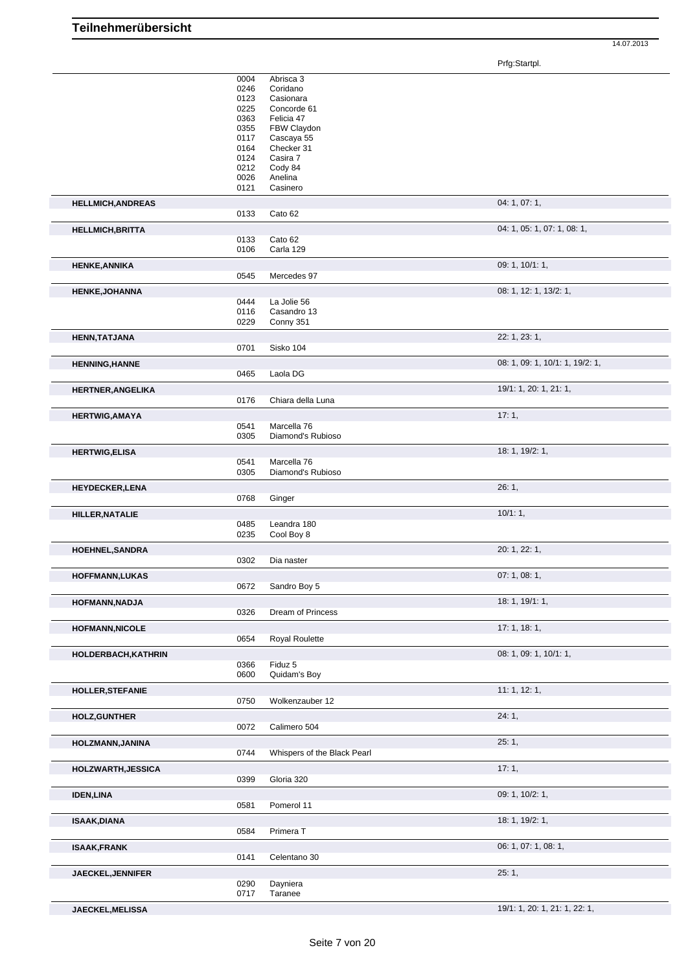Prfg:Startpl.

|                          | 0004         | Abrisca 3                   |                                 |
|--------------------------|--------------|-----------------------------|---------------------------------|
|                          | 0246         | Coridano                    |                                 |
|                          | 0123<br>0225 | Casionara<br>Concorde 61    |                                 |
|                          | 0363         | Felicia 47                  |                                 |
|                          | 0355         | FBW Claydon                 |                                 |
|                          | 0117         | Cascaya 55                  |                                 |
|                          | 0164         | Checker 31                  |                                 |
|                          | 0124         | Casira 7                    |                                 |
|                          | 0212<br>0026 | Cody 84<br>Anelina          |                                 |
|                          | 0121         | Casinero                    |                                 |
| <b>HELLMICH, ANDREAS</b> |              |                             | 04: 1, 07: 1,                   |
|                          | 0133         | Cato 62                     |                                 |
|                          |              |                             |                                 |
| <b>HELLMICH, BRITTA</b>  |              |                             | 04: 1, 05: 1, 07: 1, 08: 1,     |
|                          | 0133<br>0106 | Cato 62<br>Carla 129        |                                 |
|                          |              |                             |                                 |
| <b>HENKE, ANNIKA</b>     |              |                             | 09: 1, 10/1: 1,                 |
|                          | 0545         | Mercedes 97                 |                                 |
| <b>HENKE, JOHANNA</b>    |              |                             | 08: 1, 12: 1, 13/2: 1,          |
|                          | 0444         | La Jolie 56                 |                                 |
|                          | 0116<br>0229 | Casandro 13<br>Conny 351    |                                 |
|                          |              |                             |                                 |
| <b>HENN, TATJANA</b>     |              |                             | 22: 1, 23: 1,                   |
|                          | 0701         | Sisko 104                   |                                 |
| <b>HENNING, HANNE</b>    |              |                             | 08: 1, 09: 1, 10/1: 1, 19/2: 1, |
|                          | 0465         | Laola DG                    |                                 |
| <b>HERTNER, ANGELIKA</b> |              |                             | 19/1: 1, 20: 1, 21: 1,          |
|                          | 0176         | Chiara della Luna           |                                 |
| <b>HERTWIG, AMAYA</b>    |              |                             | 17:1,                           |
|                          | 0541         | Marcella 76                 |                                 |
|                          | 0305         | Diamond's Rubioso           |                                 |
| <b>HERTWIG, ELISA</b>    |              |                             | 18: 1, 19/2: 1,                 |
|                          | 0541         | Marcella 76                 |                                 |
|                          | 0305         | Diamond's Rubioso           |                                 |
| <b>HEYDECKER,LENA</b>    |              |                             | 26:1,                           |
|                          | 0768         | Ginger                      |                                 |
| HILLER, NATALIE          |              |                             | 10/1:1,                         |
|                          | 0485         | Leandra 180                 |                                 |
|                          | 0235         | Cool Boy 8                  |                                 |
| <b>HOEHNEL, SANDRA</b>   |              |                             | 20: 1, 22: 1,                   |
|                          | 0302         | Dia naster                  |                                 |
| HOFFMANN, LUKAS          |              |                             | 07: 1, 08: 1,                   |
|                          | 0672         | Sandro Boy 5                |                                 |
|                          |              |                             |                                 |
| HOFMANN, NADJA           | 0326         | Dream of Princess           | 18: 1, 19/1: 1,                 |
|                          |              |                             |                                 |
| <b>HOFMANN, NICOLE</b>   |              |                             | 17: 1, 18: 1,                   |
|                          | 0654         | Royal Roulette              |                                 |
| HOLDERBACH, KATHRIN      |              |                             | 08: 1, 09: 1, 10/1: 1,          |
|                          | 0366         | Fiduz 5                     |                                 |
|                          | 0600         | Quidam's Boy                |                                 |
| <b>HOLLER, STEFANIE</b>  |              |                             | 11:1, 12:1,                     |
|                          | 0750         | Wolkenzauber 12             |                                 |
| <b>HOLZ, GUNTHER</b>     |              |                             | 24:1,                           |
|                          | 0072         | Calimero 504                |                                 |
| HOLZMANN, JANINA         |              |                             | 25:1,                           |
|                          | 0744         | Whispers of the Black Pearl |                                 |
| HOLZWARTH, JESSICA       |              |                             | 17:1,                           |
|                          | 0399         | Gloria 320                  |                                 |
| <b>IDEN, LINA</b>        |              |                             | 09: 1, 10/2: 1,                 |
|                          | 0581         | Pomerol 11                  |                                 |
|                          |              |                             | 18: 1, 19/2: 1,                 |
| <b>ISAAK, DIANA</b>      | 0584         | Primera T                   |                                 |
|                          |              |                             |                                 |
| <b>ISAAK,FRANK</b>       |              |                             | 06: 1, 07: 1, 08: 1,            |
|                          | 0141         | Celentano 30                |                                 |
| JAECKEL, JENNIFER        |              |                             | 25:1,                           |
|                          | 0290<br>0717 | Dayniera<br>Taranee         |                                 |
|                          |              |                             |                                 |
| JAECKEL, MELISSA         |              |                             | 19/1: 1, 20: 1, 21: 1, 22: 1,   |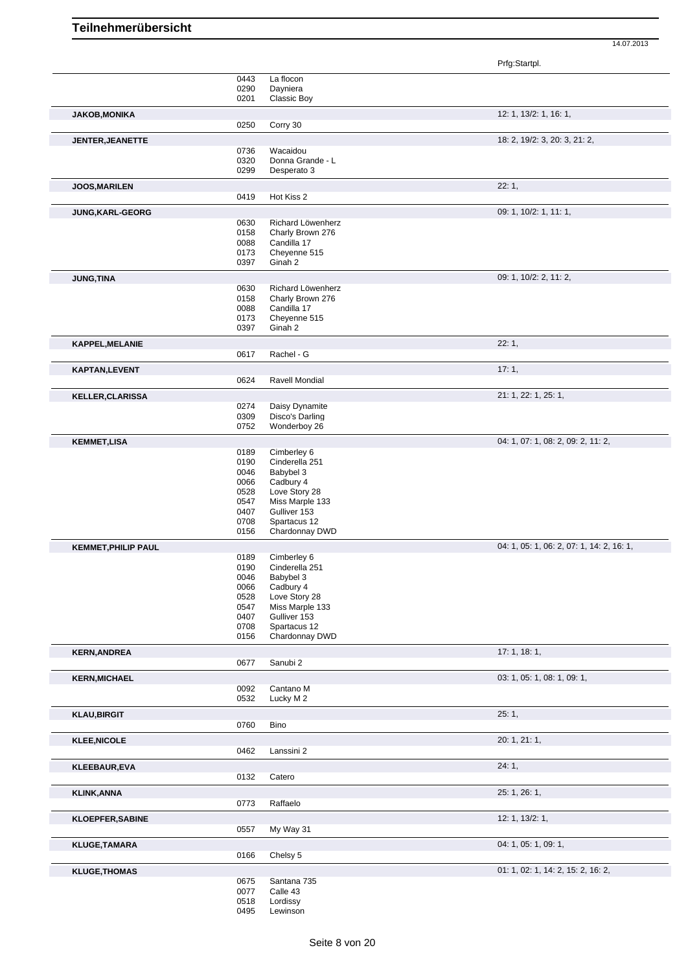|              |                                                                                                                                                                                                                                      | Prfg:Startpl.                                                                                                                                                                                                                                                                                                                                                                                                                                                                     |
|--------------|--------------------------------------------------------------------------------------------------------------------------------------------------------------------------------------------------------------------------------------|-----------------------------------------------------------------------------------------------------------------------------------------------------------------------------------------------------------------------------------------------------------------------------------------------------------------------------------------------------------------------------------------------------------------------------------------------------------------------------------|
| 0443         | La flocon                                                                                                                                                                                                                            |                                                                                                                                                                                                                                                                                                                                                                                                                                                                                   |
| 0290         | Dayniera                                                                                                                                                                                                                             |                                                                                                                                                                                                                                                                                                                                                                                                                                                                                   |
| 0201         | Classic Boy                                                                                                                                                                                                                          |                                                                                                                                                                                                                                                                                                                                                                                                                                                                                   |
|              |                                                                                                                                                                                                                                      | 12: 1, 13/2: 1, 16: 1,                                                                                                                                                                                                                                                                                                                                                                                                                                                            |
| 0250         | Corry 30                                                                                                                                                                                                                             |                                                                                                                                                                                                                                                                                                                                                                                                                                                                                   |
|              |                                                                                                                                                                                                                                      | 18: 2, 19/2: 3, 20: 3, 21: 2,                                                                                                                                                                                                                                                                                                                                                                                                                                                     |
|              |                                                                                                                                                                                                                                      |                                                                                                                                                                                                                                                                                                                                                                                                                                                                                   |
| 0320         | Donna Grande - L                                                                                                                                                                                                                     |                                                                                                                                                                                                                                                                                                                                                                                                                                                                                   |
| 0299         | Desperato 3                                                                                                                                                                                                                          |                                                                                                                                                                                                                                                                                                                                                                                                                                                                                   |
|              |                                                                                                                                                                                                                                      | 22:1,                                                                                                                                                                                                                                                                                                                                                                                                                                                                             |
| 0419         | Hot Kiss 2                                                                                                                                                                                                                           |                                                                                                                                                                                                                                                                                                                                                                                                                                                                                   |
|              |                                                                                                                                                                                                                                      | 09: 1, 10/2: 1, 11: 1,                                                                                                                                                                                                                                                                                                                                                                                                                                                            |
| 0630         | Richard Löwenherz                                                                                                                                                                                                                    |                                                                                                                                                                                                                                                                                                                                                                                                                                                                                   |
| 0158         | Charly Brown 276                                                                                                                                                                                                                     |                                                                                                                                                                                                                                                                                                                                                                                                                                                                                   |
|              |                                                                                                                                                                                                                                      |                                                                                                                                                                                                                                                                                                                                                                                                                                                                                   |
|              |                                                                                                                                                                                                                                      |                                                                                                                                                                                                                                                                                                                                                                                                                                                                                   |
|              |                                                                                                                                                                                                                                      |                                                                                                                                                                                                                                                                                                                                                                                                                                                                                   |
|              |                                                                                                                                                                                                                                      | 09: 1, 10/2: 2, 11: 2,                                                                                                                                                                                                                                                                                                                                                                                                                                                            |
|              |                                                                                                                                                                                                                                      |                                                                                                                                                                                                                                                                                                                                                                                                                                                                                   |
|              |                                                                                                                                                                                                                                      |                                                                                                                                                                                                                                                                                                                                                                                                                                                                                   |
|              | Cheyenne 515                                                                                                                                                                                                                         |                                                                                                                                                                                                                                                                                                                                                                                                                                                                                   |
| 0397         | Ginah 2                                                                                                                                                                                                                              |                                                                                                                                                                                                                                                                                                                                                                                                                                                                                   |
|              |                                                                                                                                                                                                                                      | 22:1,                                                                                                                                                                                                                                                                                                                                                                                                                                                                             |
| 0617         | Rachel - G                                                                                                                                                                                                                           |                                                                                                                                                                                                                                                                                                                                                                                                                                                                                   |
|              |                                                                                                                                                                                                                                      | 17:1,                                                                                                                                                                                                                                                                                                                                                                                                                                                                             |
|              |                                                                                                                                                                                                                                      |                                                                                                                                                                                                                                                                                                                                                                                                                                                                                   |
|              |                                                                                                                                                                                                                                      |                                                                                                                                                                                                                                                                                                                                                                                                                                                                                   |
|              |                                                                                                                                                                                                                                      | 21: 1, 22: 1, 25: 1,                                                                                                                                                                                                                                                                                                                                                                                                                                                              |
|              |                                                                                                                                                                                                                                      |                                                                                                                                                                                                                                                                                                                                                                                                                                                                                   |
|              |                                                                                                                                                                                                                                      |                                                                                                                                                                                                                                                                                                                                                                                                                                                                                   |
|              |                                                                                                                                                                                                                                      | 04: 1, 07: 1, 08: 2, 09: 2, 11: 2,                                                                                                                                                                                                                                                                                                                                                                                                                                                |
|              |                                                                                                                                                                                                                                      |                                                                                                                                                                                                                                                                                                                                                                                                                                                                                   |
|              |                                                                                                                                                                                                                                      |                                                                                                                                                                                                                                                                                                                                                                                                                                                                                   |
| 0046         | Babybel 3                                                                                                                                                                                                                            |                                                                                                                                                                                                                                                                                                                                                                                                                                                                                   |
| 0066         | Cadbury 4                                                                                                                                                                                                                            |                                                                                                                                                                                                                                                                                                                                                                                                                                                                                   |
| 0528         | Love Story 28                                                                                                                                                                                                                        |                                                                                                                                                                                                                                                                                                                                                                                                                                                                                   |
|              |                                                                                                                                                                                                                                      |                                                                                                                                                                                                                                                                                                                                                                                                                                                                                   |
|              |                                                                                                                                                                                                                                      |                                                                                                                                                                                                                                                                                                                                                                                                                                                                                   |
|              |                                                                                                                                                                                                                                      |                                                                                                                                                                                                                                                                                                                                                                                                                                                                                   |
|              |                                                                                                                                                                                                                                      | 04: 1, 05: 1, 06: 2, 07: 1, 14: 2, 16: 1,                                                                                                                                                                                                                                                                                                                                                                                                                                         |
|              |                                                                                                                                                                                                                                      |                                                                                                                                                                                                                                                                                                                                                                                                                                                                                   |
|              |                                                                                                                                                                                                                                      |                                                                                                                                                                                                                                                                                                                                                                                                                                                                                   |
| 0046         | Babybel 3                                                                                                                                                                                                                            |                                                                                                                                                                                                                                                                                                                                                                                                                                                                                   |
| 0066         | Cadbury 4                                                                                                                                                                                                                            |                                                                                                                                                                                                                                                                                                                                                                                                                                                                                   |
| 0528         |                                                                                                                                                                                                                                      |                                                                                                                                                                                                                                                                                                                                                                                                                                                                                   |
|              |                                                                                                                                                                                                                                      |                                                                                                                                                                                                                                                                                                                                                                                                                                                                                   |
|              |                                                                                                                                                                                                                                      |                                                                                                                                                                                                                                                                                                                                                                                                                                                                                   |
|              |                                                                                                                                                                                                                                      |                                                                                                                                                                                                                                                                                                                                                                                                                                                                                   |
|              |                                                                                                                                                                                                                                      | 17: 1, 18: 1,                                                                                                                                                                                                                                                                                                                                                                                                                                                                     |
|              |                                                                                                                                                                                                                                      |                                                                                                                                                                                                                                                                                                                                                                                                                                                                                   |
|              |                                                                                                                                                                                                                                      |                                                                                                                                                                                                                                                                                                                                                                                                                                                                                   |
|              |                                                                                                                                                                                                                                      | 03: 1, 05: 1, 08: 1, 09: 1,                                                                                                                                                                                                                                                                                                                                                                                                                                                       |
|              |                                                                                                                                                                                                                                      |                                                                                                                                                                                                                                                                                                                                                                                                                                                                                   |
|              |                                                                                                                                                                                                                                      |                                                                                                                                                                                                                                                                                                                                                                                                                                                                                   |
|              |                                                                                                                                                                                                                                      | 25:1,                                                                                                                                                                                                                                                                                                                                                                                                                                                                             |
|              |                                                                                                                                                                                                                                      |                                                                                                                                                                                                                                                                                                                                                                                                                                                                                   |
|              |                                                                                                                                                                                                                                      | 20: 1, 21: 1,                                                                                                                                                                                                                                                                                                                                                                                                                                                                     |
|              |                                                                                                                                                                                                                                      |                                                                                                                                                                                                                                                                                                                                                                                                                                                                                   |
|              |                                                                                                                                                                                                                                      | 24:1,                                                                                                                                                                                                                                                                                                                                                                                                                                                                             |
| 0132         | Catero                                                                                                                                                                                                                               |                                                                                                                                                                                                                                                                                                                                                                                                                                                                                   |
|              |                                                                                                                                                                                                                                      | 25: 1, 26: 1,                                                                                                                                                                                                                                                                                                                                                                                                                                                                     |
| 0773         | Raffaelo                                                                                                                                                                                                                             |                                                                                                                                                                                                                                                                                                                                                                                                                                                                                   |
|              |                                                                                                                                                                                                                                      | 12: 1, 13/2: 1,                                                                                                                                                                                                                                                                                                                                                                                                                                                                   |
|              | My Way 31                                                                                                                                                                                                                            |                                                                                                                                                                                                                                                                                                                                                                                                                                                                                   |
|              |                                                                                                                                                                                                                                      |                                                                                                                                                                                                                                                                                                                                                                                                                                                                                   |
| 0557         |                                                                                                                                                                                                                                      |                                                                                                                                                                                                                                                                                                                                                                                                                                                                                   |
|              |                                                                                                                                                                                                                                      | 04: 1, 05: 1, 09: 1,                                                                                                                                                                                                                                                                                                                                                                                                                                                              |
| 0166         | Chelsy 5                                                                                                                                                                                                                             |                                                                                                                                                                                                                                                                                                                                                                                                                                                                                   |
|              |                                                                                                                                                                                                                                      | 01: 1, 02: 1, 14: 2, 15: 2, 16: 2,                                                                                                                                                                                                                                                                                                                                                                                                                                                |
| 0675         | Santana 735                                                                                                                                                                                                                          |                                                                                                                                                                                                                                                                                                                                                                                                                                                                                   |
| 0077<br>0518 | Calle 43<br>Lordissy                                                                                                                                                                                                                 |                                                                                                                                                                                                                                                                                                                                                                                                                                                                                   |
|              | 0736<br>0088<br>0173<br>0397<br>0630<br>0158<br>0088<br>0173<br>0624<br>0274<br>0309<br>0752<br>0189<br>0190<br>0547<br>0407<br>0708<br>0156<br>0189<br>0190<br>0547<br>0407<br>0708<br>0156<br>0677<br>0092<br>0532<br>0760<br>0462 | Wacaidou<br>Candilla 17<br>Cheyenne 515<br>Ginah 2<br>Richard Löwenherz<br>Charly Brown 276<br>Candilla 17<br>Ravell Mondial<br>Daisy Dynamite<br>Disco's Darling<br>Wonderboy 26<br>Cimberley 6<br>Cinderella 251<br>Miss Marple 133<br>Gulliver 153<br>Spartacus 12<br>Chardonnay DWD<br>Cimberley 6<br>Cinderella 251<br>Love Story 28<br>Miss Marple 133<br>Gulliver 153<br>Spartacus 12<br>Chardonnay DWD<br>Sanubi 2<br>Cantano M<br>Lucky M 2<br><b>Bino</b><br>Lanssini 2 |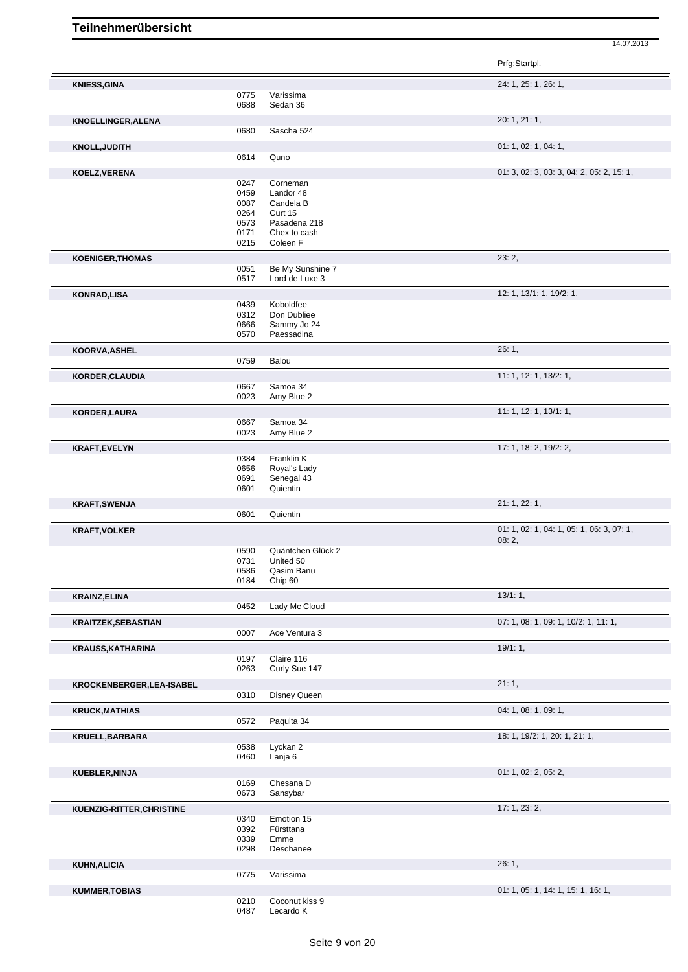|                            |              |                            | Prfg:Startpl.                                      |
|----------------------------|--------------|----------------------------|----------------------------------------------------|
| <b>KNIESS, GINA</b>        |              |                            | 24: 1, 25: 1, 26: 1,                               |
|                            | 0775         | Varissima                  |                                                    |
|                            | 0688         | Sedan 36                   |                                                    |
| <b>KNOELLINGER, ALENA</b>  |              |                            | 20: 1, 21: 1,                                      |
|                            | 0680         | Sascha 524                 |                                                    |
| <b>KNOLL, JUDITH</b>       |              |                            | 01: 1, 02: 1, 04: 1,                               |
|                            | 0614         | Quno                       |                                                    |
| KOELZ, VERENA              |              |                            | 01: 3, 02: 3, 03: 3, 04: 2, 05: 2, 15: 1,          |
|                            | 0247         | Corneman                   |                                                    |
|                            | 0459         | Landor 48                  |                                                    |
|                            | 0087<br>0264 | Candela B<br>Curt 15       |                                                    |
|                            | 0573         | Pasadena 218               |                                                    |
|                            | 0171         | Chex to cash               |                                                    |
|                            | 0215         | Coleen F                   |                                                    |
| <b>KOENIGER, THOMAS</b>    |              |                            | 23:2,                                              |
|                            | 0051         | Be My Sunshine 7           |                                                    |
|                            | 0517         | Lord de Luxe 3             |                                                    |
| <b>KONRAD,LISA</b>         |              |                            | 12: 1, 13/1: 1, 19/2: 1,                           |
|                            | 0439         | Koboldfee                  |                                                    |
|                            | 0312         | Don Dubliee                |                                                    |
|                            | 0666         | Sammy Jo 24                |                                                    |
|                            | 0570         | Paessadina                 |                                                    |
| KOORVA, ASHEL              |              |                            | 26:1,                                              |
|                            | 0759         | Balou                      |                                                    |
| <b>KORDER, CLAUDIA</b>     |              |                            | 11: 1, 12: 1, 13/2: 1,                             |
|                            | 0667         | Samoa 34                   |                                                    |
|                            | 0023         | Amy Blue 2                 |                                                    |
| KORDER, LAURA              |              |                            | 11: 1, 12: 1, 13/1: 1,                             |
|                            | 0667         | Samoa 34                   |                                                    |
|                            | 0023         | Amy Blue 2                 |                                                    |
| <b>KRAFT,EVELYN</b>        |              |                            | 17: 1, 18: 2, 19/2: 2,                             |
|                            | 0384         | Franklin K                 |                                                    |
|                            | 0656<br>0691 | Royal's Lady<br>Senegal 43 |                                                    |
|                            | 0601         | Quientin                   |                                                    |
|                            |              |                            | 21: 1, 22: 1,                                      |
| <b>KRAFT, SWENJA</b>       | 0601         | Quientin                   |                                                    |
|                            |              |                            |                                                    |
| <b>KRAFT, VOLKER</b>       |              |                            | 01: 1, 02: 1, 04: 1, 05: 1, 06: 3, 07: 1,<br>08:2, |
|                            | 0590         | Quäntchen Glück 2          |                                                    |
|                            | 0731         | United 50                  |                                                    |
|                            | 0586         | Qasim Banu                 |                                                    |
|                            | 0184         | Chip 60                    |                                                    |
| <b>KRAINZ, ELINA</b>       |              |                            | 13/1:1,                                            |
|                            | 0452         | Lady Mc Cloud              |                                                    |
| <b>KRAITZEK, SEBASTIAN</b> |              |                            | 07: 1, 08: 1, 09: 1, 10/2: 1, 11: 1,               |
|                            | 0007         | Ace Ventura 3              |                                                    |
| <b>KRAUSS, KATHARINA</b>   |              |                            | 19/1:1,                                            |
|                            | 0197         | Claire 116                 |                                                    |
|                            | 0263         | Curly Sue 147              |                                                    |
| KROCKENBERGER, LEA-ISABEL  |              |                            | 21:1,                                              |
|                            | 0310         | <b>Disney Queen</b>        |                                                    |
|                            |              |                            | 04: 1, 08: 1, 09: 1,                               |
| <b>KRUCK, MATHIAS</b>      | 0572         | Paquita 34                 |                                                    |
|                            |              |                            |                                                    |
| KRUELL, BARBARA            |              |                            | 18: 1, 19/2: 1, 20: 1, 21: 1,                      |
|                            | 0538<br>0460 | Lyckan 2<br>Lanja 6        |                                                    |
|                            |              |                            |                                                    |
| KUEBLER, NINJA             |              |                            | 01: 1, 02: 2, 05: 2,                               |
|                            | 0169<br>0673 | Chesana D<br>Sansybar      |                                                    |
|                            |              |                            |                                                    |
| KUENZIG-RITTER, CHRISTINE  |              |                            | 17: 1, 23: 2,                                      |
|                            | 0340<br>0392 | Emotion 15<br>Fürsttana    |                                                    |
|                            | 0339         | Emme                       |                                                    |
|                            | 0298         | Deschanee                  |                                                    |
|                            |              |                            | 26:1,                                              |
| <b>KUHN, ALICIA</b>        | 0775         | Varissima                  |                                                    |
|                            |              |                            |                                                    |
| <b>KUMMER, TOBIAS</b>      | 0210         | Coconut kiss 9             | 01: 1, 05: 1, 14: 1, 15: 1, 16: 1,                 |
|                            | 0487         | Lecardo K                  |                                                    |
|                            |              |                            |                                                    |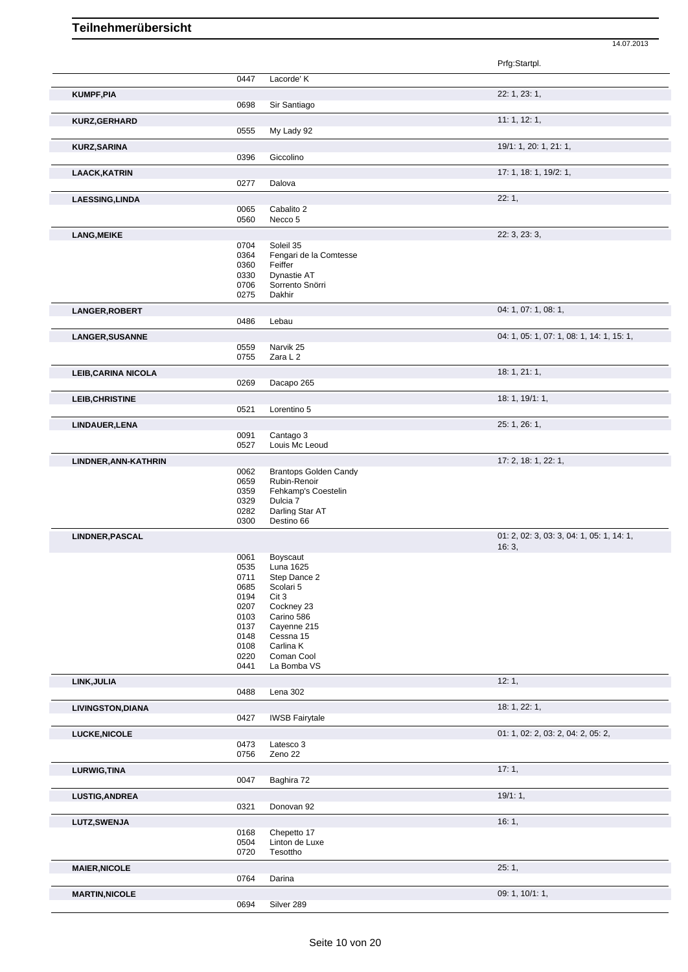|                                                       |              |                                     | Prfg:Startpl.                             |
|-------------------------------------------------------|--------------|-------------------------------------|-------------------------------------------|
|                                                       | 0447         | Lacorde' K                          |                                           |
| <b>KUMPF, PIA</b>                                     |              |                                     | 22: 1, 23: 1,                             |
|                                                       | 0698         | Sir Santiago                        |                                           |
| <b>KURZ,GERHARD</b>                                   |              |                                     | 11: 1, 12: 1,                             |
|                                                       | 0555         | My Lady 92                          |                                           |
|                                                       |              |                                     | 19/1: 1, 20: 1, 21: 1,                    |
| <b>KURZ, SARINA</b>                                   | 0396         | Giccolino                           |                                           |
|                                                       |              |                                     |                                           |
| <b>LAACK, KATRIN</b>                                  | 0277         | Dalova                              | 17: 1, 18: 1, 19/2: 1,                    |
|                                                       |              |                                     |                                           |
| <b>LAESSING, LINDA</b>                                | 0065         | Cabalito 2                          | 22:1,                                     |
|                                                       | 0560         | Necco 5                             |                                           |
|                                                       |              |                                     |                                           |
| <b>LANG, MEIKE</b>                                    | 0704         | Soleil 35                           | 22: 3, 23: 3,                             |
|                                                       | 0364         | Fengari de la Comtesse              |                                           |
|                                                       | 0360         | Feiffer                             |                                           |
|                                                       | 0330         | Dynastie AT                         |                                           |
|                                                       | 0706<br>0275 | Sorrento Snörri<br>Dakhir           |                                           |
|                                                       |              |                                     |                                           |
| LANGER, ROBERT                                        |              |                                     | 04: 1, 07: 1, 08: 1,                      |
|                                                       | 0486         | Lebau                               |                                           |
| LANGER, SUSANNE                                       |              |                                     | 04: 1, 05: 1, 07: 1, 08: 1, 14: 1, 15: 1, |
|                                                       | 0559         | Narvik 25                           |                                           |
|                                                       | 0755         | Zara L 2                            |                                           |
| <b>LEIB, CARINA NICOLA</b>                            |              |                                     | 18: 1, 21: 1,                             |
|                                                       | 0269         | Dacapo 265                          |                                           |
| <b>LEIB, CHRISTINE</b>                                |              |                                     | 18: 1, 19/1: 1,                           |
|                                                       | 0521         | Lorentino 5                         |                                           |
| LINDAUER, LENA                                        |              |                                     | 25: 1, 26: 1,                             |
|                                                       | 0091         | Cantago 3                           |                                           |
|                                                       | 0527         | Louis Mc Leoud                      |                                           |
| LINDNER, ANN-KATHRIN                                  |              |                                     | 17: 2, 18: 1, 22: 1,                      |
|                                                       | 0062         | <b>Brantops Golden Candy</b>        |                                           |
|                                                       | 0659<br>0359 | Rubin-Renoir<br>Fehkamp's Coestelin |                                           |
|                                                       | 0329         | Dulcia 7                            |                                           |
|                                                       | 0282         | Darling Star AT                     |                                           |
|                                                       | 0300         | Destino 66                          |                                           |
| <b>LINDNER, PASCAL</b>                                |              |                                     | 01: 2, 02: 3, 03: 3, 04: 1, 05: 1, 14: 1, |
|                                                       |              |                                     | 16:3,                                     |
|                                                       | 0061         | Boyscaut                            |                                           |
|                                                       | 0535<br>0711 | Luna 1625<br>Step Dance 2           |                                           |
|                                                       | 0685         | Scolari 5                           |                                           |
|                                                       | 0194         | Cit 3                               |                                           |
|                                                       | 0207         | Cockney 23                          |                                           |
|                                                       | 0103<br>0137 | Carino 586<br>Cayenne 215           |                                           |
|                                                       | 0148         | Cessna 15                           |                                           |
|                                                       | 0108         | Carlina K                           |                                           |
|                                                       | 0220         | Coman Cool                          |                                           |
|                                                       | 0441         | La Bomba VS                         |                                           |
| LINK, JULIA                                           |              |                                     | 12:1,                                     |
|                                                       | 0488         | Lena 302                            |                                           |
| <b>LIVINGSTON, DIANA</b>                              |              |                                     | 18: 1, 22: 1,                             |
|                                                       | 0427         | <b>IWSB Fairytale</b>               |                                           |
| LUCKE, NICOLE                                         |              |                                     |                                           |
|                                                       |              |                                     | 01: 1, 02: 2, 03: 2, 04: 2, 05: 2,        |
|                                                       | 0473         | Latesco 3                           |                                           |
|                                                       | 0756         | Zeno 22                             |                                           |
|                                                       |              |                                     | 17:1,                                     |
|                                                       | 0047         | Baghira 72                          |                                           |
|                                                       |              |                                     | 19/1:1,                                   |
|                                                       | 0321         | Donovan 92                          |                                           |
|                                                       |              |                                     |                                           |
| LURWIG, TINA<br><b>LUSTIG, ANDREA</b><br>LUTZ, SWENJA | 0168         | Chepetto 17                         | 16:1,                                     |
|                                                       | 0504         | Linton de Luxe                      |                                           |
|                                                       | 0720         | Tesottho                            |                                           |
| <b>MAIER, NICOLE</b>                                  |              |                                     | 25:1,                                     |
|                                                       | 0764         | Darina                              |                                           |
| <b>MARTIN, NICOLE</b>                                 |              |                                     | 09: 1, 10/1: 1,                           |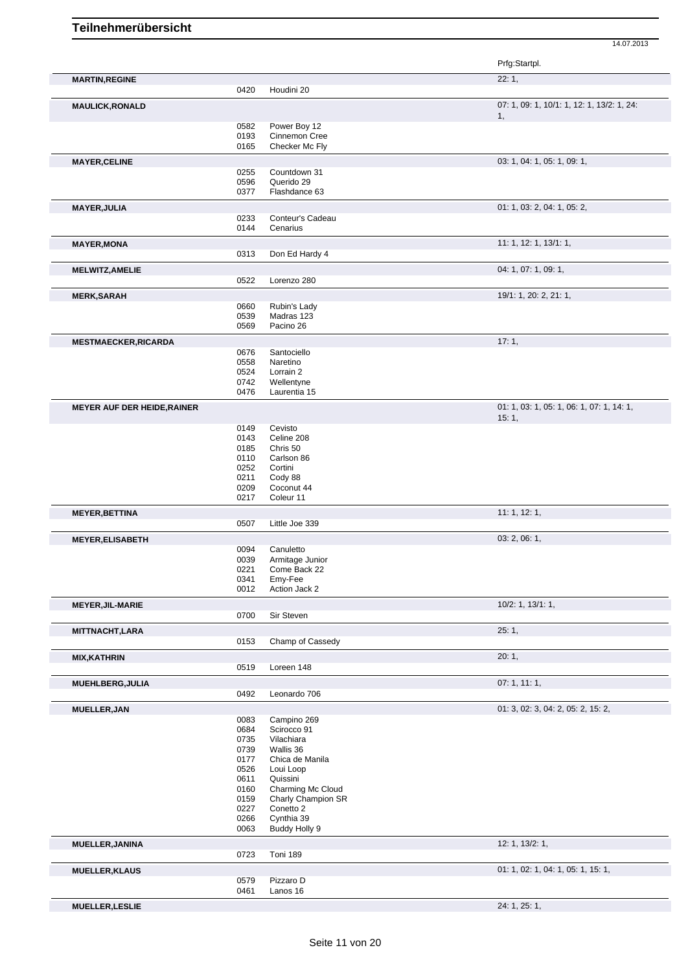|                                                                    |              |                              | Prfg:Startpl.                                      |
|--------------------------------------------------------------------|--------------|------------------------------|----------------------------------------------------|
| <b>MARTIN, REGINE</b>                                              | 0420         | Houdini 20                   | 22:1,                                              |
|                                                                    |              |                              |                                                    |
| <b>MAULICK, RONALD</b>                                             |              |                              | 07: 1, 09: 1, 10/1: 1, 12: 1, 13/2: 1, 24:<br>1,   |
|                                                                    | 0582         | Power Boy 12                 |                                                    |
|                                                                    | 0193         | Cinnemon Cree                |                                                    |
|                                                                    | 0165         | Checker Mc Fly               |                                                    |
| <b>MAYER, CELINE</b>                                               |              |                              | 03: 1, 04: 1, 05: 1, 09: 1,                        |
|                                                                    | 0255<br>0596 | Countdown 31<br>Querido 29   |                                                    |
|                                                                    | 0377         | Flashdance 63                |                                                    |
| <b>MAYER, JULIA</b>                                                |              |                              | 01: 1, 03: 2, 04: 1, 05: 2,                        |
|                                                                    | 0233         | Conteur's Cadeau             |                                                    |
|                                                                    | 0144         | Cenarius                     |                                                    |
| <b>MAYER, MONA</b>                                                 |              |                              | 11: 1, 12: 1, 13/1: 1,                             |
|                                                                    | 0313         | Don Ed Hardy 4               |                                                    |
| <b>MELWITZ, AMELIE</b>                                             |              |                              | 04: 1, 07: 1, 09: 1,                               |
|                                                                    | 0522         | Lorenzo 280                  |                                                    |
| <b>MERK, SARAH</b>                                                 |              |                              | 19/1: 1, 20: 2, 21: 1,                             |
|                                                                    | 0660         | Rubin's Lady                 |                                                    |
|                                                                    | 0539<br>0569 | Madras 123<br>Pacino 26      |                                                    |
|                                                                    |              |                              |                                                    |
| <b>MESTMAECKER, RICARDA</b>                                        | 0676         | Santociello                  | 17:1,                                              |
|                                                                    | 0558         | Naretino                     |                                                    |
|                                                                    | 0524         | Lorrain 2                    |                                                    |
|                                                                    | 0742         | Wellentyne                   |                                                    |
|                                                                    | 0476         | Laurentia 15                 |                                                    |
| <b>MEYER AUF DER HEIDE, RAINER</b>                                 |              |                              | 01: 1, 03: 1, 05: 1, 06: 1, 07: 1, 14: 1,<br>15:1, |
|                                                                    | 0149         | Cevisto                      |                                                    |
|                                                                    | 0143         | Celine 208                   |                                                    |
|                                                                    | 0185         | Chris 50                     |                                                    |
|                                                                    | 0110         | Carlson 86                   |                                                    |
|                                                                    | 0252<br>0211 | Cortini<br>Cody 88           |                                                    |
|                                                                    | 0209         | Coconut 44                   |                                                    |
|                                                                    | 0217         | Coleur 11                    |                                                    |
| <b>MEYER, BETTINA</b>                                              |              |                              | 11: 1, 12: 1,                                      |
|                                                                    | 0507         | Little Joe 339               |                                                    |
| <b>MEYER, ELISABETH</b>                                            |              |                              | 03: 2, 06: 1,                                      |
|                                                                    | 0094         | Canuletto                    |                                                    |
|                                                                    | 0039         | Armitage Junior              |                                                    |
|                                                                    | 0221<br>0341 | Come Back 22<br>Emy-Fee      |                                                    |
|                                                                    | 0012         | Action Jack 2                |                                                    |
| <b>MEYER, JIL-MARIE</b>                                            |              |                              | $10/2$ : 1, $13/1$ : 1,                            |
|                                                                    | 0700         | Sir Steven                   |                                                    |
| <b>MITTNACHT,LARA</b>                                              |              |                              | 25:1,                                              |
|                                                                    | 0153         | Champ of Cassedy             |                                                    |
| <b>MIX, KATHRIN</b>                                                |              |                              | 20:1,                                              |
|                                                                    | 0519         | Loreen 148                   |                                                    |
| <b>MUEHLBERG, JULIA</b>                                            |              |                              | 07:1, 11:1,                                        |
|                                                                    | 0492         | Leonardo 706                 |                                                    |
| MUELLER, JAN                                                       |              |                              | 01: 3, 02: 3, 04: 2, 05: 2, 15: 2,                 |
|                                                                    | 0083         | Campino 269                  |                                                    |
|                                                                    | 0684         | Scirocco 91                  |                                                    |
|                                                                    | 0735         | Vilachiara                   |                                                    |
|                                                                    | 0739         | Wallis 36                    |                                                    |
|                                                                    | 0177<br>0526 | Chica de Manila<br>Loui Loop |                                                    |
|                                                                    | 0611         | Quissini                     |                                                    |
|                                                                    |              | Charming Mc Cloud            |                                                    |
|                                                                    |              |                              |                                                    |
|                                                                    | 0160<br>0159 | Charly Champion SR           |                                                    |
|                                                                    | 0227         | Conetto 2                    |                                                    |
|                                                                    | 0266         | Cynthia 39                   |                                                    |
|                                                                    | 0063         | Buddy Holly 9                |                                                    |
|                                                                    |              |                              | 12: 1, 13/2: 1,                                    |
|                                                                    | 0723         | Toni 189                     |                                                    |
|                                                                    |              |                              | 01: 1, 02: 1, 04: 1, 05: 1, 15: 1,                 |
|                                                                    | 0579<br>0461 | Pizzaro D<br>Lanos 16        |                                                    |
| <b>MUELLER, JANINA</b><br><b>MUELLER, KLAUS</b><br>MUELLER, LESLIE |              |                              | 24: 1, 25: 1,                                      |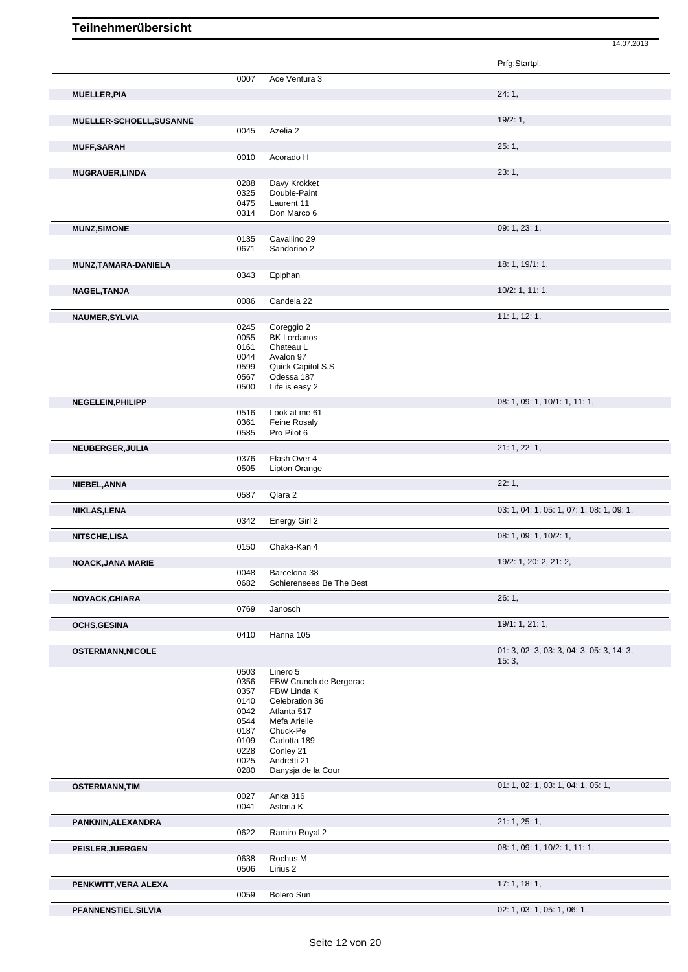|                          |              |                                 | Prfg:Startpl.                             |
|--------------------------|--------------|---------------------------------|-------------------------------------------|
|                          | 0007         | Ace Ventura 3                   |                                           |
| <b>MUELLER, PIA</b>      |              |                                 | 24:1,                                     |
| MUELLER-SCHOELL, SUSANNE |              |                                 | 19/2:1,                                   |
|                          | 0045         | Azelia 2                        |                                           |
| <b>MUFF, SARAH</b>       |              |                                 | 25:1,                                     |
|                          | 0010         | Acorado H                       |                                           |
| <b>MUGRAUER, LINDA</b>   |              |                                 | 23:1,                                     |
|                          | 0288         | Davy Krokket                    |                                           |
|                          | 0325         | Double-Paint                    |                                           |
|                          | 0475<br>0314 | Laurent 11<br>Don Marco 6       |                                           |
|                          |              |                                 | 09: 1, 23: 1,                             |
| <b>MUNZ, SIMONE</b>      | 0135         | Cavallino 29                    |                                           |
|                          | 0671         | Sandorino 2                     |                                           |
| MUNZ, TAMARA-DANIELA     |              |                                 | 18:1, 19/1:1,                             |
|                          | 0343         | Epiphan                         |                                           |
| NAGEL, TANJA             |              |                                 | 10/2: 1, 11: 1,                           |
|                          | 0086         | Candela 22                      |                                           |
| NAUMER, SYLVIA           |              |                                 | 11: 1, 12: 1,                             |
|                          | 0245         | Coreggio 2                      |                                           |
|                          | 0055         | <b>BK Lordanos</b>              |                                           |
|                          | 0161<br>0044 | Chateau L<br>Avalon 97          |                                           |
|                          | 0599         | Quick Capitol S.S               |                                           |
|                          | 0567         | Odessa 187                      |                                           |
|                          | 0500         | Life is easy 2                  |                                           |
| NEGELEIN, PHILIPP        |              |                                 | 08: 1, 09: 1, 10/1: 1, 11: 1,             |
|                          | 0516         | Look at me 61                   |                                           |
|                          | 0361<br>0585 | Feine Rosaly<br>Pro Pilot 6     |                                           |
|                          |              |                                 | 21: 1, 22: 1,                             |
| NEUBERGER, JULIA         | 0376         | Flash Over 4                    |                                           |
|                          | 0505         | <b>Lipton Orange</b>            |                                           |
| NIEBEL, ANNA             |              |                                 | 22:1,                                     |
|                          | 0587         | Qlara 2                         |                                           |
| NIKLAS, LENA             |              |                                 | 03: 1, 04: 1, 05: 1, 07: 1, 08: 1, 09: 1, |
|                          | 0342         | Energy Girl 2                   |                                           |
| <b>NITSCHE,LISA</b>      |              |                                 | 08: 1, 09: 1, 10/2: 1,                    |
|                          | 0150         | Chaka-Kan 4                     |                                           |
| <b>NOACK, JANA MARIE</b> |              |                                 | 19/2: 1, 20: 2, 21: 2,                    |
|                          | 0048         | Barcelona 38                    |                                           |
|                          | 0682         | Schierensees Be The Best        |                                           |
| NOVACK, CHIARA           |              |                                 | 26:1,                                     |
|                          | 0769         | Janosch                         |                                           |
| <b>OCHS, GESINA</b>      |              |                                 | 19/1: 1, 21: 1,                           |
|                          | 0410         | Hanna 105                       |                                           |
| <b>OSTERMANN, NICOLE</b> |              |                                 | 01: 3, 02: 3, 03: 3, 04: 3, 05: 3, 14: 3, |
|                          | 0503         | Linero 5                        | 15:3,                                     |
|                          | 0356         | FBW Crunch de Bergerac          |                                           |
|                          | 0357         | FBW Linda K                     |                                           |
|                          | 0140         | Celebration 36                  |                                           |
|                          | 0042         | Atlanta 517                     |                                           |
|                          | 0544         | Mefa Arielle                    |                                           |
|                          | 0187<br>0109 | Chuck-Pe<br>Carlotta 189        |                                           |
|                          | 0228         | Conley 21                       |                                           |
|                          | 0025         | Andretti 21                     |                                           |
|                          | 0280         | Danysja de la Cour              |                                           |
| <b>OSTERMANN, TIM</b>    |              |                                 | 01: 1, 02: 1, 03: 1, 04: 1, 05: 1,        |
|                          | 0027         | Anka 316                        |                                           |
|                          | 0041         | Astoria K                       |                                           |
| PANKNIN, ALEXANDRA       |              |                                 | 21: 1, 25: 1,                             |
|                          | 0622         | Ramiro Royal 2                  |                                           |
| <b>PEISLER, JUERGEN</b>  |              |                                 | 08: 1, 09: 1, 10/2: 1, 11: 1,             |
|                          | 0638<br>0506 | Rochus M<br>Lirius <sub>2</sub> |                                           |
|                          |              |                                 |                                           |
| PENKWITT, VERA ALEXA     |              |                                 | 17:1, 18:1,                               |
|                          | 0059         | Bolero Sun                      |                                           |
| PFANNENSTIEL, SILVIA     |              |                                 | 02: 1, 03: 1, 05: 1, 06: 1,               |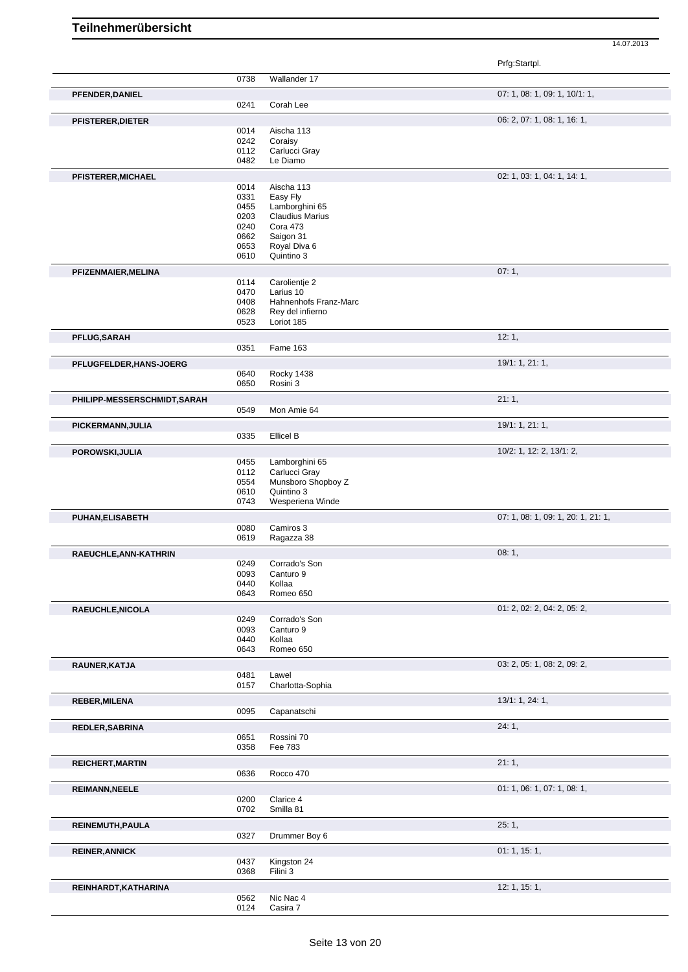|                              |              |                                | Prfg:Startpl.                      |
|------------------------------|--------------|--------------------------------|------------------------------------|
|                              | 0738         | Wallander 17                   |                                    |
| PFENDER, DANIEL              |              |                                | 07: 1, 08: 1, 09: 1, 10/1: 1,      |
|                              | 0241         | Corah Lee                      |                                    |
| PFISTERER, DIETER            |              |                                | 06: 2, 07: 1, 08: 1, 16: 1,        |
|                              | 0014         | Aischa 113                     |                                    |
|                              | 0242         | Coraisy<br>Carlucci Gray       |                                    |
|                              | 0112<br>0482 | Le Diamo                       |                                    |
|                              |              |                                | 02: 1, 03: 1, 04: 1, 14: 1,        |
| PFISTERER, MICHAEL           | 0014         | Aischa 113                     |                                    |
|                              | 0331         | Easy Fly                       |                                    |
|                              | 0455         | Lamborghini 65                 |                                    |
|                              | 0203         | <b>Claudius Marius</b>         |                                    |
|                              | 0240<br>0662 | Cora 473<br>Saigon 31          |                                    |
|                              | 0653         | Royal Diva 6                   |                                    |
|                              | 0610         | Quintino 3                     |                                    |
| PFIZENMAIER, MELINA          |              |                                | 07:1,                              |
|                              | 0114         | Carolientje 2                  |                                    |
|                              | 0470         | Larius 10                      |                                    |
|                              | 0408         | Hahnenhofs Franz-Marc          |                                    |
|                              | 0628<br>0523 | Rey del infierno<br>Loriot 185 |                                    |
|                              |              |                                |                                    |
| PFLUG, SARAH                 | 0351         | Fame 163                       | 12:1,                              |
|                              |              |                                |                                    |
| PFLUGFELDER, HANS-JOERG      | 0640         | Rocky 1438                     | 19/1: 1, 21: 1,                    |
|                              | 0650         | Rosini 3                       |                                    |
| PHILIPP-MESSERSCHMIDT, SARAH |              |                                | 21:1,                              |
|                              | 0549         | Mon Amie 64                    |                                    |
|                              |              |                                |                                    |
| PICKERMANN, JULIA            | 0335         | Ellicel B                      | 19/1: 1, 21: 1,                    |
|                              |              |                                |                                    |
| POROWSKI, JULIA              | 0455         | Lamborghini 65                 | 10/2: 1, 12: 2, 13/1: 2,           |
|                              | 0112         | Carlucci Gray                  |                                    |
|                              | 0554         | Munsboro Shopboy Z             |                                    |
|                              | 0610         | Quintino 3                     |                                    |
|                              | 0743         | Wesperiena Winde               |                                    |
| PUHAN, ELISABETH             |              |                                | 07: 1, 08: 1, 09: 1, 20: 1, 21: 1, |
|                              | 0080         | Camiros 3                      |                                    |
|                              | 0619         | Ragazza 38                     |                                    |
| RAEUCHLE, ANN-KATHRIN        | 0249         | Corrado's Son                  | 08:1,                              |
|                              | 0093         | Canturo 9                      |                                    |
|                              | 0440         | Kollaa                         |                                    |
|                              | 0643         | Romeo 650                      |                                    |
| RAEUCHLE, NICOLA             |              |                                | 01: 2, 02: 2, 04: 2, 05: 2,        |
|                              | 0249         | Corrado's Son                  |                                    |
|                              | 0093         | Canturo 9                      |                                    |
|                              | 0440<br>0643 | Kollaa<br>Romeo 650            |                                    |
|                              |              |                                |                                    |
| RAUNER, KATJA                | 0481         | Lawel                          | 03: 2, 05: 1, 08: 2, 09: 2,        |
|                              | 0157         | Charlotta-Sophia               |                                    |
| <b>REBER, MILENA</b>         |              |                                | 13/1: 1, 24: 1,                    |
|                              | 0095         | Capanatschi                    |                                    |
| REDLER, SABRINA              |              |                                | 24:1,                              |
|                              | 0651         | Rossini 70                     |                                    |
|                              | 0358         | Fee 783                        |                                    |
| <b>REICHERT, MARTIN</b>      |              |                                | 21:1,                              |
|                              | 0636         | Rocco 470                      |                                    |
| <b>REIMANN, NEELE</b>        |              |                                | 01: 1, 06: 1, 07: 1, 08: 1,        |
|                              | 0200         | Clarice 4                      |                                    |
|                              | 0702         | Smilla 81                      |                                    |
| REINEMUTH, PAULA             |              |                                | 25:1,                              |
|                              | 0327         | Drummer Boy 6                  |                                    |
| <b>REINER, ANNICK</b>        |              |                                | 01:1, 15:1,                        |
|                              | 0437         | Kingston 24                    |                                    |
|                              | 0368         | Filini 3                       |                                    |
| REINHARDT, KATHARINA         |              |                                | 12: 1, 15: 1,                      |
|                              | 0562         | Nic Nac 4                      |                                    |
|                              | 0124         | Casira 7                       |                                    |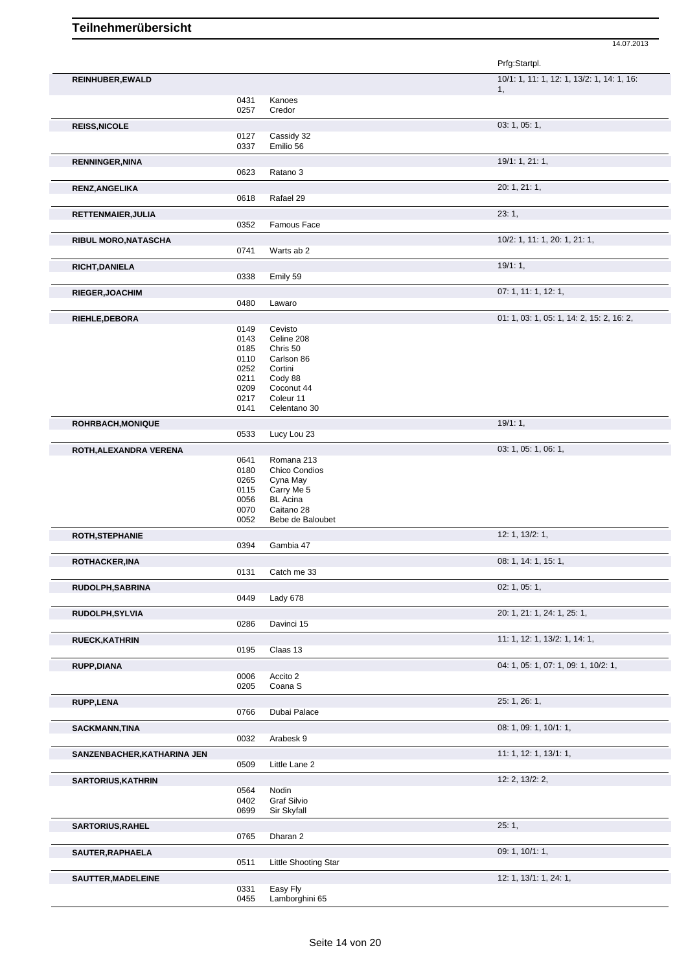|                             |              |                                | Prfg:Startpl.                              |
|-----------------------------|--------------|--------------------------------|--------------------------------------------|
| REINHUBER, EWALD            |              |                                | 10/1: 1, 11: 1, 12: 1, 13/2: 1, 14: 1, 16: |
|                             | 0431         | Kanoes                         | 1,                                         |
|                             | 0257         | Credor                         |                                            |
| <b>REISS, NICOLE</b>        |              |                                | 03: 1, 05: 1,                              |
|                             | 0127<br>0337 | Cassidy 32<br>Emilio 56        |                                            |
| <b>RENNINGER, NINA</b>      |              |                                | 19/1: 1, 21: 1,                            |
|                             | 0623         | Ratano 3                       |                                            |
| <b>RENZ, ANGELIKA</b>       |              |                                | 20: 1, 21: 1,                              |
|                             | 0618         | Rafael 29                      |                                            |
| RETTENMAIER, JULIA          | 0352         | Famous Face                    | 23:1,                                      |
| <b>RIBUL MORO, NATASCHA</b> |              |                                | 10/2: 1, 11: 1, 20: 1, 21: 1,              |
|                             | 0741         | Warts ab 2                     |                                            |
| <b>RICHT, DANIELA</b>       |              |                                | 19/1:1,                                    |
|                             | 0338         | Emily 59                       |                                            |
| <b>RIEGER, JOACHIM</b>      |              |                                | 07: 1, 11: 1, 12: 1,                       |
|                             | 0480         | Lawaro                         |                                            |
| <b>RIEHLE, DEBORA</b>       | 0149         | Cevisto                        | 01: 1, 03: 1, 05: 1, 14: 2, 15: 2, 16: 2,  |
|                             | 0143         | Celine 208                     |                                            |
|                             | 0185         | Chris 50                       |                                            |
|                             | 0110<br>0252 | Carlson 86<br>Cortini          |                                            |
|                             | 0211         | Cody 88                        |                                            |
|                             | 0209         | Coconut 44                     |                                            |
|                             | 0217         | Coleur 11                      |                                            |
|                             | 0141         | Celentano 30                   |                                            |
| <b>ROHRBACH, MONIQUE</b>    | 0533         |                                | 19/1:1,                                    |
|                             |              | Lucy Lou 23                    |                                            |
| ROTH, ALEXANDRA VERENA      | 0641         | Romana 213                     | 03: 1, 05: 1, 06: 1,                       |
|                             | 0180         | Chico Condios                  |                                            |
|                             | 0265         | Cyna May                       |                                            |
|                             | 0115         | Carry Me 5                     |                                            |
|                             | 0056         | <b>BL</b> Acina                |                                            |
|                             | 0070<br>0052 | Caitano 28<br>Bebe de Baloubet |                                            |
| <b>ROTH, STEPHANIE</b>      |              |                                | 12: 1, 13/2: 1,                            |
|                             | 0394         | Gambia 47                      |                                            |
| ROTHACKER, INA              |              |                                | 08: 1, 14: 1, 15: 1,                       |
|                             | 0131         | Catch me 33                    | 02: 1, 05: 1,                              |
| RUDOLPH, SABRINA            | 0449         | Lady 678                       |                                            |
| RUDOLPH, SYLVIA             |              |                                | 20: 1, 21: 1, 24: 1, 25: 1,                |
|                             | 0286         | Davinci 15                     |                                            |
| <b>RUECK, KATHRIN</b>       |              |                                | 11: 1, 12: 1, 13/2: 1, 14: 1,              |
|                             | 0195         | Claas 13                       |                                            |
| RUPP, DIANA                 | 0006         | Accito 2                       | 04: 1, 05: 1, 07: 1, 09: 1, 10/2: 1,       |
|                             | 0205         | Coana <sub>S</sub>             |                                            |
| <b>RUPP,LENA</b>            |              |                                | 25: 1, 26: 1,                              |
|                             | 0766         | Dubai Palace                   |                                            |
| <b>SACKMANN, TINA</b>       |              |                                | 08: 1, 09: 1, 10/1: 1,                     |
|                             | 0032         | Arabesk 9                      |                                            |
| SANZENBACHER, KATHARINA JEN | 0509         | Little Lane 2                  | 11: 1, 12: 1, 13/1: 1,                     |
|                             |              |                                | 12: 2, 13/2: 2,                            |
| <b>SARTORIUS, KATHRIN</b>   | 0564         | Nodin                          |                                            |
|                             | 0402         | Graf Silvio                    |                                            |
|                             | 0699         | Sir Skyfall                    |                                            |
| <b>SARTORIUS, RAHEL</b>     |              |                                | 25:1,                                      |
|                             | 0765         | Dharan 2                       |                                            |
| SAUTER, RAPHAELA            |              |                                | 09: 1, 10/1: 1,                            |
|                             | 0511         | <b>Little Shooting Star</b>    |                                            |
| SAUTTER, MADELEINE          |              |                                | 12: 1, 13/1: 1, 24: 1,                     |
|                             | 0331<br>0455 | Easy Fly<br>Lamborghini 65     |                                            |
|                             |              |                                |                                            |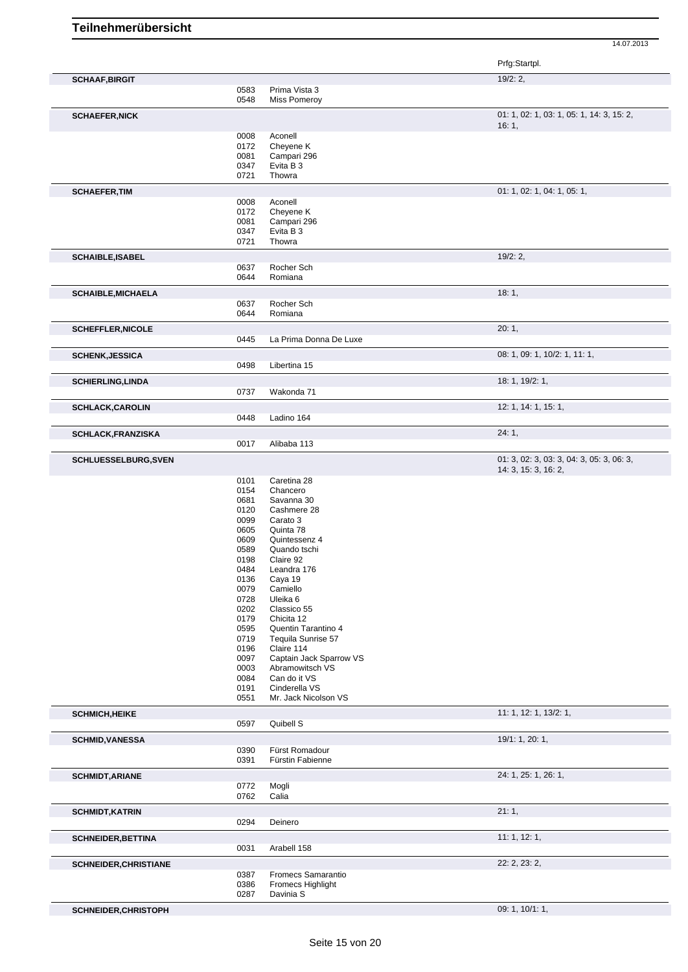| 19/2:2,<br><b>SCHAAF, BIRGIT</b><br>0583<br>Prima Vista 3<br>0548<br><b>Miss Pomeroy</b><br>16:1,<br>Aconell<br>0008<br>0172<br>Cheyene K<br>0081<br>Campari 296<br>0347<br>Evita B 3<br>Thowra<br>0721<br>0008<br>Aconell<br>0172<br>Cheyene K<br>0081<br>Campari 296<br>0347<br>Evita B 3<br>0721<br>Thowra<br>19/2:2,<br>0637<br>Rocher Sch<br>0644<br>Romiana<br>18:1,<br>0637<br>Rocher Sch<br>0644<br>Romiana<br>20:1,<br>0445<br>La Prima Donna De Luxe<br>0498<br>Libertina 15<br>18: 1, 19/2: 1,<br>0737<br>Wakonda 71<br>0448<br>Ladino 164<br>24:1,<br>0017<br>Alibaba 113<br>0101<br>Caretina 28<br>0154<br>Chancero<br>0681<br>Savanna 30<br>0120<br>Cashmere 28<br>0099<br>Carato 3<br>0605<br>Quinta 78<br>0609<br>Quintessenz 4<br>0589<br>Quando tschi<br>0198<br>Claire 92<br>0484<br>Leandra 176<br>0136<br>Caya 19<br>0079<br>Camiello<br>0728<br>Uleika 6<br>0202<br>Classico 55<br>0179<br>Chicita 12<br>0595<br>Quentin Tarantino 4<br>0719<br>Tequila Sunrise 57 | 01: 1, 02: 1, 03: 1, 05: 1, 14: 3, 15: 2,<br>01: 1, 02: 1, 04: 1, 05: 1,<br>08: 1, 09: 1, 10/2: 1, 11: 1,<br>12: 1, 14: 1, 15: 1, |
|------------------------------------------------------------------------------------------------------------------------------------------------------------------------------------------------------------------------------------------------------------------------------------------------------------------------------------------------------------------------------------------------------------------------------------------------------------------------------------------------------------------------------------------------------------------------------------------------------------------------------------------------------------------------------------------------------------------------------------------------------------------------------------------------------------------------------------------------------------------------------------------------------------------------------------------------------------------------------------------|-----------------------------------------------------------------------------------------------------------------------------------|
|                                                                                                                                                                                                                                                                                                                                                                                                                                                                                                                                                                                                                                                                                                                                                                                                                                                                                                                                                                                          |                                                                                                                                   |
| <b>SCHAEFER, NICK</b><br><b>SCHAEFER, TIM</b><br><b>SCHAIBLE, ISABEL</b><br><b>SCHAIBLE, MICHAELA</b><br><b>SCHEFFLER, NICOLE</b><br><b>SCHENK, JESSICA</b><br><b>SCHIERLING, LINDA</b><br><b>SCHLACK, CAROLIN</b><br><b>SCHLACK, FRANZISKA</b><br><b>SCHLUESSELBURG, SVEN</b>                                                                                                                                                                                                                                                                                                                                                                                                                                                                                                                                                                                                                                                                                                           |                                                                                                                                   |
|                                                                                                                                                                                                                                                                                                                                                                                                                                                                                                                                                                                                                                                                                                                                                                                                                                                                                                                                                                                          |                                                                                                                                   |
|                                                                                                                                                                                                                                                                                                                                                                                                                                                                                                                                                                                                                                                                                                                                                                                                                                                                                                                                                                                          |                                                                                                                                   |
|                                                                                                                                                                                                                                                                                                                                                                                                                                                                                                                                                                                                                                                                                                                                                                                                                                                                                                                                                                                          |                                                                                                                                   |
|                                                                                                                                                                                                                                                                                                                                                                                                                                                                                                                                                                                                                                                                                                                                                                                                                                                                                                                                                                                          |                                                                                                                                   |
|                                                                                                                                                                                                                                                                                                                                                                                                                                                                                                                                                                                                                                                                                                                                                                                                                                                                                                                                                                                          |                                                                                                                                   |
|                                                                                                                                                                                                                                                                                                                                                                                                                                                                                                                                                                                                                                                                                                                                                                                                                                                                                                                                                                                          |                                                                                                                                   |
|                                                                                                                                                                                                                                                                                                                                                                                                                                                                                                                                                                                                                                                                                                                                                                                                                                                                                                                                                                                          |                                                                                                                                   |
|                                                                                                                                                                                                                                                                                                                                                                                                                                                                                                                                                                                                                                                                                                                                                                                                                                                                                                                                                                                          |                                                                                                                                   |
|                                                                                                                                                                                                                                                                                                                                                                                                                                                                                                                                                                                                                                                                                                                                                                                                                                                                                                                                                                                          |                                                                                                                                   |
|                                                                                                                                                                                                                                                                                                                                                                                                                                                                                                                                                                                                                                                                                                                                                                                                                                                                                                                                                                                          |                                                                                                                                   |
|                                                                                                                                                                                                                                                                                                                                                                                                                                                                                                                                                                                                                                                                                                                                                                                                                                                                                                                                                                                          |                                                                                                                                   |
|                                                                                                                                                                                                                                                                                                                                                                                                                                                                                                                                                                                                                                                                                                                                                                                                                                                                                                                                                                                          |                                                                                                                                   |
|                                                                                                                                                                                                                                                                                                                                                                                                                                                                                                                                                                                                                                                                                                                                                                                                                                                                                                                                                                                          |                                                                                                                                   |
|                                                                                                                                                                                                                                                                                                                                                                                                                                                                                                                                                                                                                                                                                                                                                                                                                                                                                                                                                                                          |                                                                                                                                   |
|                                                                                                                                                                                                                                                                                                                                                                                                                                                                                                                                                                                                                                                                                                                                                                                                                                                                                                                                                                                          |                                                                                                                                   |
|                                                                                                                                                                                                                                                                                                                                                                                                                                                                                                                                                                                                                                                                                                                                                                                                                                                                                                                                                                                          |                                                                                                                                   |
|                                                                                                                                                                                                                                                                                                                                                                                                                                                                                                                                                                                                                                                                                                                                                                                                                                                                                                                                                                                          |                                                                                                                                   |
|                                                                                                                                                                                                                                                                                                                                                                                                                                                                                                                                                                                                                                                                                                                                                                                                                                                                                                                                                                                          |                                                                                                                                   |
|                                                                                                                                                                                                                                                                                                                                                                                                                                                                                                                                                                                                                                                                                                                                                                                                                                                                                                                                                                                          |                                                                                                                                   |
|                                                                                                                                                                                                                                                                                                                                                                                                                                                                                                                                                                                                                                                                                                                                                                                                                                                                                                                                                                                          |                                                                                                                                   |
|                                                                                                                                                                                                                                                                                                                                                                                                                                                                                                                                                                                                                                                                                                                                                                                                                                                                                                                                                                                          |                                                                                                                                   |
|                                                                                                                                                                                                                                                                                                                                                                                                                                                                                                                                                                                                                                                                                                                                                                                                                                                                                                                                                                                          |                                                                                                                                   |
|                                                                                                                                                                                                                                                                                                                                                                                                                                                                                                                                                                                                                                                                                                                                                                                                                                                                                                                                                                                          |                                                                                                                                   |
|                                                                                                                                                                                                                                                                                                                                                                                                                                                                                                                                                                                                                                                                                                                                                                                                                                                                                                                                                                                          |                                                                                                                                   |
|                                                                                                                                                                                                                                                                                                                                                                                                                                                                                                                                                                                                                                                                                                                                                                                                                                                                                                                                                                                          |                                                                                                                                   |
|                                                                                                                                                                                                                                                                                                                                                                                                                                                                                                                                                                                                                                                                                                                                                                                                                                                                                                                                                                                          |                                                                                                                                   |
|                                                                                                                                                                                                                                                                                                                                                                                                                                                                                                                                                                                                                                                                                                                                                                                                                                                                                                                                                                                          |                                                                                                                                   |
|                                                                                                                                                                                                                                                                                                                                                                                                                                                                                                                                                                                                                                                                                                                                                                                                                                                                                                                                                                                          |                                                                                                                                   |
|                                                                                                                                                                                                                                                                                                                                                                                                                                                                                                                                                                                                                                                                                                                                                                                                                                                                                                                                                                                          | 01: 3, 02: 3, 03: 3, 04: 3, 05: 3, 06: 3,                                                                                         |
|                                                                                                                                                                                                                                                                                                                                                                                                                                                                                                                                                                                                                                                                                                                                                                                                                                                                                                                                                                                          | 14: 3, 15: 3, 16: 2,                                                                                                              |
|                                                                                                                                                                                                                                                                                                                                                                                                                                                                                                                                                                                                                                                                                                                                                                                                                                                                                                                                                                                          |                                                                                                                                   |
|                                                                                                                                                                                                                                                                                                                                                                                                                                                                                                                                                                                                                                                                                                                                                                                                                                                                                                                                                                                          |                                                                                                                                   |
|                                                                                                                                                                                                                                                                                                                                                                                                                                                                                                                                                                                                                                                                                                                                                                                                                                                                                                                                                                                          |                                                                                                                                   |
|                                                                                                                                                                                                                                                                                                                                                                                                                                                                                                                                                                                                                                                                                                                                                                                                                                                                                                                                                                                          |                                                                                                                                   |
|                                                                                                                                                                                                                                                                                                                                                                                                                                                                                                                                                                                                                                                                                                                                                                                                                                                                                                                                                                                          |                                                                                                                                   |
|                                                                                                                                                                                                                                                                                                                                                                                                                                                                                                                                                                                                                                                                                                                                                                                                                                                                                                                                                                                          |                                                                                                                                   |
|                                                                                                                                                                                                                                                                                                                                                                                                                                                                                                                                                                                                                                                                                                                                                                                                                                                                                                                                                                                          |                                                                                                                                   |
|                                                                                                                                                                                                                                                                                                                                                                                                                                                                                                                                                                                                                                                                                                                                                                                                                                                                                                                                                                                          |                                                                                                                                   |
|                                                                                                                                                                                                                                                                                                                                                                                                                                                                                                                                                                                                                                                                                                                                                                                                                                                                                                                                                                                          |                                                                                                                                   |
|                                                                                                                                                                                                                                                                                                                                                                                                                                                                                                                                                                                                                                                                                                                                                                                                                                                                                                                                                                                          |                                                                                                                                   |
|                                                                                                                                                                                                                                                                                                                                                                                                                                                                                                                                                                                                                                                                                                                                                                                                                                                                                                                                                                                          |                                                                                                                                   |
|                                                                                                                                                                                                                                                                                                                                                                                                                                                                                                                                                                                                                                                                                                                                                                                                                                                                                                                                                                                          |                                                                                                                                   |
|                                                                                                                                                                                                                                                                                                                                                                                                                                                                                                                                                                                                                                                                                                                                                                                                                                                                                                                                                                                          |                                                                                                                                   |
|                                                                                                                                                                                                                                                                                                                                                                                                                                                                                                                                                                                                                                                                                                                                                                                                                                                                                                                                                                                          |                                                                                                                                   |
|                                                                                                                                                                                                                                                                                                                                                                                                                                                                                                                                                                                                                                                                                                                                                                                                                                                                                                                                                                                          |                                                                                                                                   |
|                                                                                                                                                                                                                                                                                                                                                                                                                                                                                                                                                                                                                                                                                                                                                                                                                                                                                                                                                                                          |                                                                                                                                   |
| 0196<br>Claire 114<br>0097<br>Captain Jack Sparrow VS                                                                                                                                                                                                                                                                                                                                                                                                                                                                                                                                                                                                                                                                                                                                                                                                                                                                                                                                    |                                                                                                                                   |
| 0003<br>Abramowitsch VS                                                                                                                                                                                                                                                                                                                                                                                                                                                                                                                                                                                                                                                                                                                                                                                                                                                                                                                                                                  |                                                                                                                                   |
| 0084<br>Can do it VS                                                                                                                                                                                                                                                                                                                                                                                                                                                                                                                                                                                                                                                                                                                                                                                                                                                                                                                                                                     |                                                                                                                                   |
| 0191<br>Cinderella VS                                                                                                                                                                                                                                                                                                                                                                                                                                                                                                                                                                                                                                                                                                                                                                                                                                                                                                                                                                    |                                                                                                                                   |
| 0551<br>Mr. Jack Nicolson VS                                                                                                                                                                                                                                                                                                                                                                                                                                                                                                                                                                                                                                                                                                                                                                                                                                                                                                                                                             |                                                                                                                                   |
| <b>SCHMICH, HEIKE</b>                                                                                                                                                                                                                                                                                                                                                                                                                                                                                                                                                                                                                                                                                                                                                                                                                                                                                                                                                                    | 11: 1, 12: 1, 13/2: 1,                                                                                                            |
| 0597<br>Quibell S                                                                                                                                                                                                                                                                                                                                                                                                                                                                                                                                                                                                                                                                                                                                                                                                                                                                                                                                                                        |                                                                                                                                   |
| 19/1: 1, 20: 1,<br><b>SCHMID, VANESSA</b>                                                                                                                                                                                                                                                                                                                                                                                                                                                                                                                                                                                                                                                                                                                                                                                                                                                                                                                                                |                                                                                                                                   |
| 0390<br>Fürst Romadour                                                                                                                                                                                                                                                                                                                                                                                                                                                                                                                                                                                                                                                                                                                                                                                                                                                                                                                                                                   |                                                                                                                                   |
| 0391<br>Fürstin Fabienne                                                                                                                                                                                                                                                                                                                                                                                                                                                                                                                                                                                                                                                                                                                                                                                                                                                                                                                                                                 |                                                                                                                                   |
| <b>SCHMIDT, ARIANE</b>                                                                                                                                                                                                                                                                                                                                                                                                                                                                                                                                                                                                                                                                                                                                                                                                                                                                                                                                                                   | 24: 1, 25: 1, 26: 1,                                                                                                              |
| 0772<br>Mogli<br>0762<br>Calia                                                                                                                                                                                                                                                                                                                                                                                                                                                                                                                                                                                                                                                                                                                                                                                                                                                                                                                                                           |                                                                                                                                   |
|                                                                                                                                                                                                                                                                                                                                                                                                                                                                                                                                                                                                                                                                                                                                                                                                                                                                                                                                                                                          |                                                                                                                                   |
| 21:1,<br><b>SCHMIDT, KATRIN</b><br>0294<br>Deinero                                                                                                                                                                                                                                                                                                                                                                                                                                                                                                                                                                                                                                                                                                                                                                                                                                                                                                                                       |                                                                                                                                   |
|                                                                                                                                                                                                                                                                                                                                                                                                                                                                                                                                                                                                                                                                                                                                                                                                                                                                                                                                                                                          |                                                                                                                                   |
| 11:1, 12:1,<br><b>SCHNEIDER, BETTINA</b><br>0031<br>Arabell 158                                                                                                                                                                                                                                                                                                                                                                                                                                                                                                                                                                                                                                                                                                                                                                                                                                                                                                                          |                                                                                                                                   |
|                                                                                                                                                                                                                                                                                                                                                                                                                                                                                                                                                                                                                                                                                                                                                                                                                                                                                                                                                                                          |                                                                                                                                   |
| 22: 2, 23: 2,<br><b>SCHNEIDER, CHRISTIANE</b><br>0387<br>Fromecs Samarantio                                                                                                                                                                                                                                                                                                                                                                                                                                                                                                                                                                                                                                                                                                                                                                                                                                                                                                              |                                                                                                                                   |
| 0386<br>Fromecs Highlight                                                                                                                                                                                                                                                                                                                                                                                                                                                                                                                                                                                                                                                                                                                                                                                                                                                                                                                                                                |                                                                                                                                   |
| 0287<br>Davinia S                                                                                                                                                                                                                                                                                                                                                                                                                                                                                                                                                                                                                                                                                                                                                                                                                                                                                                                                                                        |                                                                                                                                   |
| 09: 1, 10/1: 1,<br>SCHNEIDER, CHRISTOPH                                                                                                                                                                                                                                                                                                                                                                                                                                                                                                                                                                                                                                                                                                                                                                                                                                                                                                                                                  |                                                                                                                                   |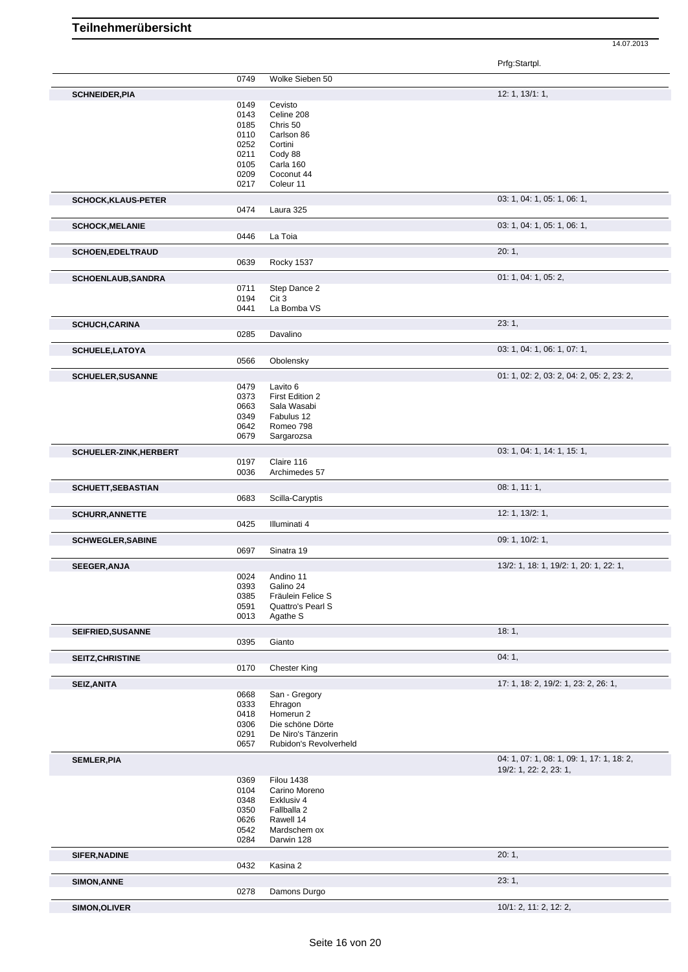14.07.2013

Prfg:Startpl.

|                            | 0749         | Wolke Sieben 50               |                                           |
|----------------------------|--------------|-------------------------------|-------------------------------------------|
|                            |              |                               |                                           |
| <b>SCHNEIDER, PIA</b>      |              |                               | 12: 1, 13/1: 1,                           |
|                            | 0149         | Cevisto                       |                                           |
|                            | 0143         | Celine 208                    |                                           |
|                            | 0185         | Chris 50                      |                                           |
|                            | 0110         | Carlson 86                    |                                           |
|                            | 0252         | Cortini                       |                                           |
|                            | 0211         | Cody 88                       |                                           |
|                            | 0105         | Carla 160                     |                                           |
|                            | 0209         | Coconut 44                    |                                           |
|                            | 0217         | Coleur 11                     |                                           |
| <b>SCHOCK, KLAUS-PETER</b> |              |                               | 03: 1, 04: 1, 05: 1, 06: 1,               |
|                            | 0474         | Laura 325                     |                                           |
|                            |              |                               |                                           |
| <b>SCHOCK, MELANIE</b>     |              |                               | 03: 1, 04: 1, 05: 1, 06: 1,               |
|                            | 0446         | La Toia                       |                                           |
| <b>SCHOEN,EDELTRAUD</b>    |              |                               | 20:1,                                     |
|                            | 0639         | Rocky 1537                    |                                           |
|                            |              |                               |                                           |
| <b>SCHOENLAUB, SANDRA</b>  |              |                               | 01: 1, 04: 1, 05: 2,                      |
|                            | 0711         | Step Dance 2                  |                                           |
|                            | 0194         | Cit 3                         |                                           |
|                            | 0441         | La Bomba VS                   |                                           |
| <b>SCHUCH, CARINA</b>      |              |                               | 23:1,                                     |
|                            | 0285         | Davalino                      |                                           |
|                            |              |                               |                                           |
| <b>SCHUELE, LATOYA</b>     |              |                               | 03: 1, 04: 1, 06: 1, 07: 1,               |
|                            | 0566         | Obolensky                     |                                           |
| <b>SCHUELER, SUSANNE</b>   |              |                               | 01: 1, 02: 2, 03: 2, 04: 2, 05: 2, 23: 2, |
|                            | 0479         | Lavito 6                      |                                           |
|                            | 0373         | First Edition 2               |                                           |
|                            | 0663         | Sala Wasabi                   |                                           |
|                            | 0349         | Fabulus 12                    |                                           |
|                            | 0642         | Romeo 798                     |                                           |
|                            | 0679         | Sargarozsa                    |                                           |
|                            |              |                               |                                           |
| SCHUELER-ZINK, HERBERT     |              |                               | 03: 1, 04: 1, 14: 1, 15: 1,               |
|                            | 0197         | Claire 116                    |                                           |
|                            | 0036         | Archimedes 57                 |                                           |
| <b>SCHUETT, SEBASTIAN</b>  |              |                               | 08: 1, 11: 1,                             |
|                            | 0683         | Scilla-Caryptis               |                                           |
|                            |              |                               |                                           |
| <b>SCHURR, ANNETTE</b>     |              |                               | 12: 1, 13/2: 1,                           |
|                            | 0425         | Illuminati 4                  |                                           |
| <b>SCHWEGLER, SABINE</b>   |              |                               | 09: 1, 10/2: 1,                           |
|                            | 0697         | Sinatra 19                    |                                           |
|                            |              |                               |                                           |
| <b>SEEGER, ANJA</b>        |              |                               | 13/2: 1, 18: 1, 19/2: 1, 20: 1, 22: 1,    |
|                            | 0024         | Andino 11                     |                                           |
|                            | 0393         | Galino 24                     |                                           |
|                            | 0385         | Fräulein Felice S             |                                           |
|                            | 0591<br>0013 | Quattro's Pearl S<br>Agathe S |                                           |
|                            |              |                               |                                           |
| <b>SEIFRIED, SUSANNE</b>   |              |                               | 18:1,                                     |
|                            | 0395         | Gianto                        |                                           |
|                            |              |                               | 04:1,                                     |
| <b>SEITZ, CHRISTINE</b>    | 0170         | <b>Chester King</b>           |                                           |
|                            |              |                               |                                           |
| <b>SEIZ, ANITA</b>         |              |                               | 17: 1, 18: 2, 19/2: 1, 23: 2, 26: 1,      |
|                            | 0668         | San - Gregory                 |                                           |
|                            | 0333         | Ehragon                       |                                           |
|                            | 0418         | Homerun 2                     |                                           |
|                            | 0306         | Die schöne Dörte              |                                           |
|                            | 0291         | De Niro's Tänzerin            |                                           |
|                            | 0657         | Rubidon's Revolverheld        |                                           |
| <b>SEMLER, PIA</b>         |              |                               | 04: 1, 07: 1, 08: 1, 09: 1, 17: 1, 18: 2, |
|                            |              |                               | 19/2: 1, 22: 2, 23: 1,                    |
|                            | 0369         | <b>Filou 1438</b>             |                                           |
|                            | 0104         | Carino Moreno                 |                                           |
|                            | 0348         | Exklusiv 4                    |                                           |
|                            | 0350         | Fallballa 2                   |                                           |
|                            | 0626         | Rawell 14                     |                                           |
|                            | 0542         | Mardschem ox                  |                                           |
|                            | 0284         | Darwin 128                    |                                           |
|                            |              |                               |                                           |
| <b>SIFER, NADINE</b>       |              |                               | 20:1,                                     |
|                            | 0432         | Kasina 2                      |                                           |
| <b>SIMON, ANNE</b>         |              |                               | 23:1,                                     |
|                            |              | Damons Durgo                  |                                           |
|                            |              |                               |                                           |
| SIMON, OLIVER              | 0278         |                               | 10/1: 2, 11: 2, 12: 2,                    |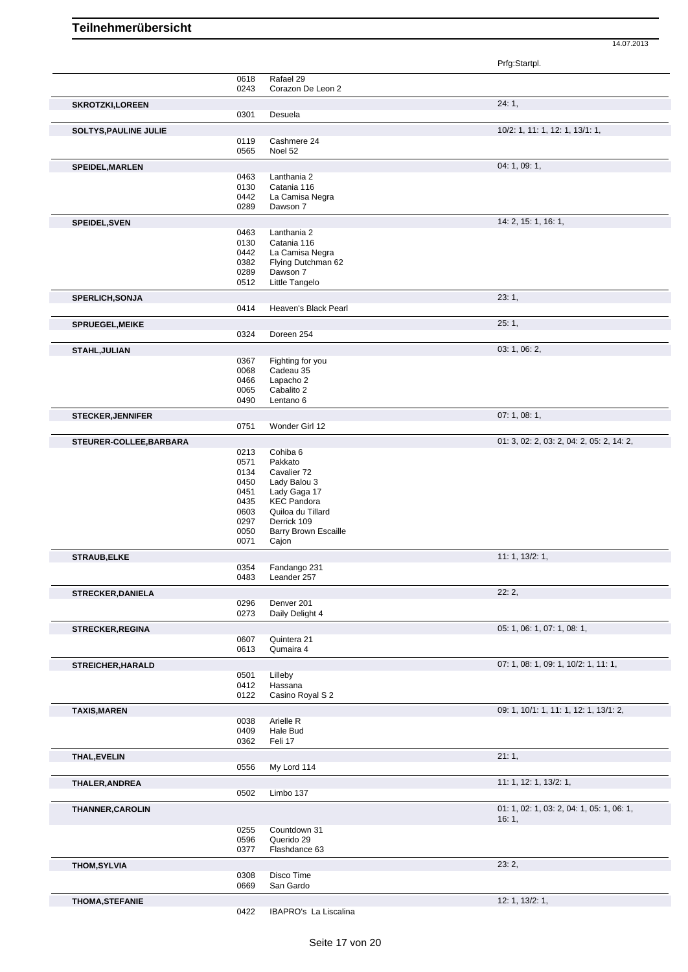Prfg:Startpl.

|                              |              |                                    | , ,,,,.,,,,.,,,                           |
|------------------------------|--------------|------------------------------------|-------------------------------------------|
|                              | 0618         | Rafael 29                          |                                           |
|                              | 0243         | Corazon De Leon 2                  |                                           |
| <b>SKROTZKI,LOREEN</b>       |              |                                    | 24:1,                                     |
|                              | 0301         | Desuela                            |                                           |
| <b>SOLTYS, PAULINE JULIE</b> |              |                                    | 10/2: 1, 11: 1, 12: 1, 13/1: 1,           |
|                              | 0119         | Cashmere 24                        |                                           |
|                              | 0565         | Noel 52                            |                                           |
| SPEIDEL, MARLEN              |              |                                    | 04: 1, 09: 1,                             |
|                              | 0463         | Lanthania 2                        |                                           |
|                              | 0130         | Catania 116                        |                                           |
|                              | 0442<br>0289 | La Camisa Negra<br>Dawson 7        |                                           |
|                              |              |                                    |                                           |
| SPEIDEL, SVEN                |              |                                    | 14: 2, 15: 1, 16: 1,                      |
|                              | 0463<br>0130 | Lanthania 2<br>Catania 116         |                                           |
|                              | 0442         | La Camisa Negra                    |                                           |
|                              | 0382         | Flying Dutchman 62                 |                                           |
|                              | 0289         | Dawson 7                           |                                           |
|                              | 0512         | Little Tangelo                     |                                           |
| <b>SPERLICH, SONJA</b>       |              |                                    | 23:1,                                     |
|                              | 0414         | Heaven's Black Pearl               |                                           |
| <b>SPRUEGEL, MEIKE</b>       |              |                                    | 25:1,                                     |
|                              | 0324         | Doreen 254                         |                                           |
|                              |              |                                    |                                           |
| STAHL, JULIAN                | 0367         | Fighting for you                   | 03: 1, 06: 2,                             |
|                              | 0068         | Cadeau 35                          |                                           |
|                              | 0466         | Lapacho 2                          |                                           |
|                              | 0065         | Cabalito 2                         |                                           |
|                              | 0490         | Lentano 6                          |                                           |
| <b>STECKER, JENNIFER</b>     |              |                                    | 07:1,08:1,                                |
|                              | 0751         | Wonder Girl 12                     |                                           |
| STEURER-COLLEE, BARBARA      |              |                                    | 01: 3, 02: 2, 03: 2, 04: 2, 05: 2, 14: 2, |
|                              | 0213         | Cohiba <sub>6</sub>                |                                           |
|                              | 0571         | Pakkato                            |                                           |
|                              | 0134         | Cavalier 72                        |                                           |
|                              | 0450         | Lady Balou 3                       |                                           |
|                              | 0451         | Lady Gaga 17<br><b>KEC Pandora</b> |                                           |
|                              | 0435<br>0603 | Quiloa du Tillard                  |                                           |
|                              | 0297         | Derrick 109                        |                                           |
|                              | 0050         | <b>Barry Brown Escaille</b>        |                                           |
|                              | 0071         | Cajon                              |                                           |
| <b>STRAUB, ELKE</b>          |              |                                    | 11: 1, 13/2: 1,                           |
|                              | 0354         | Fandango 231                       |                                           |
|                              | 0483         | Leander 257                        |                                           |
| <b>STRECKER, DANIELA</b>     |              |                                    | 22:2,                                     |
|                              | 0296         | Denver 201                         |                                           |
|                              | 0273         | Daily Delight 4                    |                                           |
| <b>STRECKER, REGINA</b>      |              |                                    | 05: 1, 06: 1, 07: 1, 08: 1,               |
|                              | 0607         | Quintera 21                        |                                           |
|                              | 0613         | Qumaira 4                          |                                           |
| <b>STREICHER, HARALD</b>     |              |                                    | 07: 1, 08: 1, 09: 1, 10/2: 1, 11: 1,      |
|                              | 0501         | Lilleby                            |                                           |
|                              | 0412<br>0122 | Hassana<br>Casino Royal S 2        |                                           |
|                              |              |                                    |                                           |
| <b>TAXIS, MAREN</b>          |              |                                    | 09: 1, 10/1: 1, 11: 1, 12: 1, 13/1: 2,    |
|                              | 0038         | Arielle R                          |                                           |
|                              | 0409<br>0362 | Hale Bud<br>Feli 17                |                                           |
|                              |              |                                    |                                           |
| <b>THAL, EVELIN</b>          |              |                                    | 21:1,                                     |
|                              | 0556         | My Lord 114                        |                                           |
| <b>THALER, ANDREA</b>        |              |                                    | 11: 1, 12: 1, 13/2: 1,                    |
|                              | 0502         | Limbo 137                          |                                           |
| <b>THANNER, CAROLIN</b>      |              |                                    | 01: 1, 02: 1, 03: 2, 04: 1, 05: 1, 06: 1, |
|                              |              |                                    | 16:1,                                     |
|                              | 0255         | Countdown 31                       |                                           |
|                              | 0596         | Querido 29                         |                                           |
|                              | 0377         | Flashdance 63                      |                                           |
| <b>THOM, SYLVIA</b>          |              |                                    | 23:2,                                     |
|                              | 0308         | Disco Time                         |                                           |
|                              | 0669         | San Gardo                          |                                           |
| <b>THOMA, STEFANIE</b>       |              |                                    | 12: 1, 13/2: 1,                           |
|                              | 0422         | IBAPRO's La Liscalina              |                                           |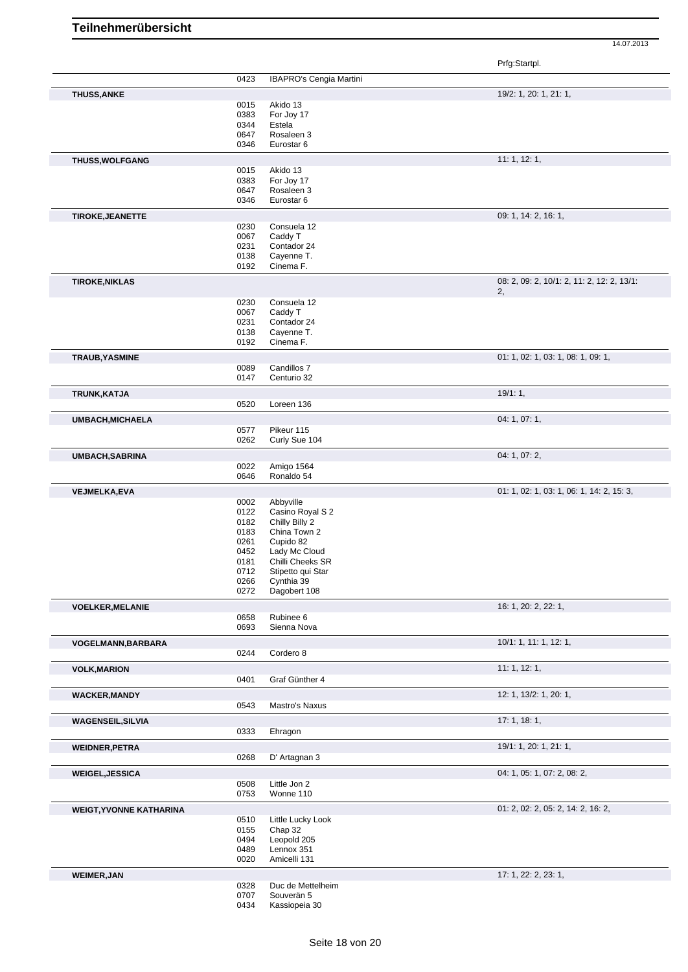|                                |              |                                | $\ldots$ g $\ldots$ $\ldots$               |
|--------------------------------|--------------|--------------------------------|--------------------------------------------|
|                                | 0423         | <b>IBAPRO's Cengia Martini</b> |                                            |
|                                |              |                                |                                            |
| <b>THUSS, ANKE</b>             |              |                                | 19/2: 1, 20: 1, 21: 1,                     |
|                                | 0015         | Akido 13                       |                                            |
|                                | 0383         | For Joy 17                     |                                            |
|                                | 0344         | Estela                         |                                            |
|                                | 0647         | Rosaleen 3                     |                                            |
|                                | 0346         | Eurostar 6                     |                                            |
|                                |              |                                |                                            |
| THUSS, WOLFGANG                |              |                                | 11:1, 12:1,                                |
|                                | 0015         | Akido 13                       |                                            |
|                                | 0383         | For Joy 17                     |                                            |
|                                | 0647         | Rosaleen 3                     |                                            |
|                                | 0346         | Eurostar 6                     |                                            |
| <b>TIROKE, JEANETTE</b>        |              |                                | 09: 1, 14: 2, 16: 1,                       |
|                                |              |                                |                                            |
|                                | 0230         | Consuela 12                    |                                            |
|                                | 0067         | Caddy T                        |                                            |
|                                | 0231         | Contador 24                    |                                            |
|                                | 0138         | Cayenne T.                     |                                            |
|                                | 0192         | Cinema F.                      |                                            |
| <b>TIROKE, NIKLAS</b>          |              |                                | 08: 2, 09: 2, 10/1: 2, 11: 2, 12: 2, 13/1: |
|                                |              |                                | 2,                                         |
|                                | 0230         | Consuela 12                    |                                            |
|                                | 0067         | Caddy T                        |                                            |
|                                | 0231         | Contador 24                    |                                            |
|                                |              |                                |                                            |
|                                | 0138         | Cayenne T.                     |                                            |
|                                | 0192         | Cinema F.                      |                                            |
| TRAUB, YASMINE                 |              |                                | 01: 1, 02: 1, 03: 1, 08: 1, 09: 1,         |
|                                | 0089         | Candillos 7                    |                                            |
|                                | 0147         | Centurio 32                    |                                            |
| TRUNK, KATJA                   |              |                                | 19/1:1,                                    |
|                                | 0520         | Loreen 136                     |                                            |
|                                |              |                                |                                            |
| <b>UMBACH, MICHAELA</b>        |              |                                | 04: 1, 07: 1,                              |
|                                | 0577         | Pikeur 115                     |                                            |
|                                | 0262         | Curly Sue 104                  |                                            |
| <b>UMBACH, SABRINA</b>         |              |                                | 04: 1, 07: 2,                              |
|                                | 0022         | Amigo 1564                     |                                            |
|                                | 0646         | Ronaldo 54                     |                                            |
|                                |              |                                |                                            |
| <b>VEJMELKA, EVA</b>           |              |                                | 01: 1, 02: 1, 03: 1, 06: 1, 14: 2, 15: 3,  |
|                                | 0002         | Abbyville                      |                                            |
|                                | 0122         | Casino Royal S 2               |                                            |
|                                | 0182         | Chilly Billy 2                 |                                            |
|                                | 0183         | China Town 2                   |                                            |
|                                | 0261         | Cupido 82                      |                                            |
|                                | 0452         | Lady Mc Cloud                  |                                            |
|                                |              |                                |                                            |
|                                | 0181         | Chilli Cheeks SR               |                                            |
|                                | 0712         | Stipetto qui Star              |                                            |
|                                | 0266         | Cynthia 39                     |                                            |
|                                | 0272         | Dagobert 108                   |                                            |
| <b>VOELKER, MELANIE</b>        |              |                                | 16: 1, 20: 2, 22: 1,                       |
|                                | 0658         | Rubinee 6                      |                                            |
|                                | 0693         | Sienna Nova                    |                                            |
|                                |              |                                |                                            |
| VOGELMANN, BARBARA             |              | Cordero 8                      | 10/1: 1, 11: 1, 12: 1,                     |
|                                | 0244         |                                |                                            |
| <b>VOLK, MARION</b>            |              |                                | 11: 1, 12: 1,                              |
|                                | 0401         | Graf Günther 4                 |                                            |
| <b>WACKER, MANDY</b>           |              |                                | 12: 1, 13/2: 1, 20: 1,                     |
|                                | 0543         | Mastro's Naxus                 |                                            |
|                                |              |                                |                                            |
| <b>WAGENSEIL, SILVIA</b>       |              |                                | 17:1, 18:1,                                |
|                                | 0333         | Ehragon                        |                                            |
| <b>WEIDNER, PETRA</b>          |              |                                | 19/1: 1, 20: 1, 21: 1,                     |
|                                | 0268         | D' Artagnan 3                  |                                            |
|                                |              |                                |                                            |
| <b>WEIGEL, JESSICA</b>         |              |                                | 04: 1, 05: 1, 07: 2, 08: 2,                |
|                                | 0508         | Little Jon 2                   |                                            |
|                                | 0753         | Wonne 110                      |                                            |
| <b>WEIGT, YVONNE KATHARINA</b> |              |                                | 01: 2, 02: 2, 05: 2, 14: 2, 16: 2,         |
|                                | 0510         | Little Lucky Look              |                                            |
|                                | 0155         | Chap 32                        |                                            |
|                                | 0494         | Leopold 205                    |                                            |
|                                |              |                                |                                            |
|                                |              |                                |                                            |
|                                | 0489         | Lennox 351                     |                                            |
|                                | 0020         | Amicelli 131                   |                                            |
| <b>WEIMER, JAN</b>             |              |                                | 17: 1, 22: 2, 23: 1,                       |
|                                | 0328         | Duc de Mettelheim              |                                            |
|                                | 0707<br>0434 | Souverän 5<br>Kassiopeia 30    |                                            |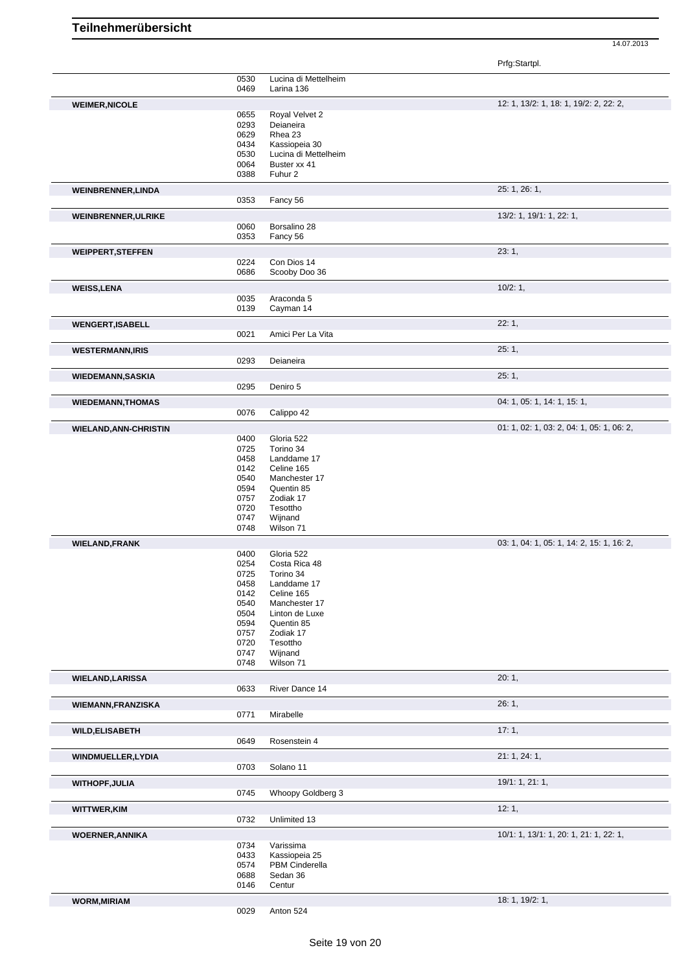Prfg:Startpl.

|                                                                                                                                                                         | 0530         | Lucina di Mettelheim     |                                           |
|-------------------------------------------------------------------------------------------------------------------------------------------------------------------------|--------------|--------------------------|-------------------------------------------|
|                                                                                                                                                                         | 0469         | Larina 136               |                                           |
|                                                                                                                                                                         |              |                          | 12: 1, 13/2: 1, 18: 1, 19/2: 2, 22: 2,    |
| <b>WEIMER, NICOLE</b>                                                                                                                                                   | 0655         | Royal Velvet 2           |                                           |
|                                                                                                                                                                         | 0293         | Deianeira                |                                           |
|                                                                                                                                                                         | 0629         | Rhea 23                  |                                           |
|                                                                                                                                                                         | 0434         | Kassiopeia 30            |                                           |
|                                                                                                                                                                         | 0530         | Lucina di Mettelheim     |                                           |
|                                                                                                                                                                         | 0064         | Buster xx 41             |                                           |
|                                                                                                                                                                         | 0388         | Fuhur 2                  |                                           |
| <b>WEINBRENNER, LINDA</b>                                                                                                                                               |              |                          | 25: 1, 26: 1,                             |
|                                                                                                                                                                         | 0353         | Fancy 56                 |                                           |
|                                                                                                                                                                         |              |                          |                                           |
| WEINBRENNER, ULRIKE                                                                                                                                                     |              |                          | 13/2: 1, 19/1: 1, 22: 1,                  |
|                                                                                                                                                                         | 0060<br>0353 | Borsalino 28<br>Fancy 56 |                                           |
|                                                                                                                                                                         |              |                          |                                           |
| <b>WEIPPERT, STEFFEN</b>                                                                                                                                                |              |                          | 23:1,                                     |
|                                                                                                                                                                         | 0224         | Con Dios 14              |                                           |
|                                                                                                                                                                         | 0686         | Scooby Doo 36            |                                           |
| <b>WEISS, LENA</b>                                                                                                                                                      |              |                          | 10/2:1,                                   |
|                                                                                                                                                                         | 0035         | Araconda 5               |                                           |
|                                                                                                                                                                         | 0139         | Cayman 14                |                                           |
| <b>WENGERT, ISABELL</b>                                                                                                                                                 |              |                          | 22:1,                                     |
|                                                                                                                                                                         | 0021         | Amici Per La Vita        |                                           |
|                                                                                                                                                                         |              |                          | 25:1,                                     |
| <b>WESTERMANN, IRIS</b>                                                                                                                                                 | 0293         | Deianeira                |                                           |
|                                                                                                                                                                         |              |                          |                                           |
| <b>WIEDEMANN, SASKIA</b>                                                                                                                                                |              |                          | 25:1,                                     |
|                                                                                                                                                                         | 0295         | Deniro 5                 |                                           |
| <b>WIEDEMANN, THOMAS</b>                                                                                                                                                |              |                          | 04: 1, 05: 1, 14: 1, 15: 1,               |
|                                                                                                                                                                         | 0076         | Calippo 42               |                                           |
|                                                                                                                                                                         |              |                          | 01: 1, 02: 1, 03: 2, 04: 1, 05: 1, 06: 2, |
| <b>WIELAND, ANN-CHRISTIN</b>                                                                                                                                            |              |                          |                                           |
|                                                                                                                                                                         | 0400<br>0725 | Gloria 522<br>Torino 34  |                                           |
|                                                                                                                                                                         | 0458         | Landdame 17              |                                           |
|                                                                                                                                                                         | 0142         | Celine 165               |                                           |
|                                                                                                                                                                         | 0540         | Manchester 17            |                                           |
|                                                                                                                                                                         | 0594         | Quentin 85               |                                           |
|                                                                                                                                                                         | 0757         | Zodiak 17                |                                           |
|                                                                                                                                                                         | 0720         | Tesottho                 |                                           |
|                                                                                                                                                                         | 0747         | Wijnand                  |                                           |
|                                                                                                                                                                         | 0748         | Wilson 71                |                                           |
| <b>WIELAND, FRANK</b>                                                                                                                                                   |              |                          | 03: 1, 04: 1, 05: 1, 14: 2, 15: 1, 16: 2, |
|                                                                                                                                                                         | 0400         | Gloria 522               |                                           |
|                                                                                                                                                                         | 0254         | Costa Rica 48            |                                           |
|                                                                                                                                                                         |              | Torino 34                |                                           |
|                                                                                                                                                                         |              |                          |                                           |
|                                                                                                                                                                         | 0725<br>0458 | Landdame 17              |                                           |
|                                                                                                                                                                         | 0142         | Celine 165               |                                           |
|                                                                                                                                                                         | 0540         | Manchester 17            |                                           |
|                                                                                                                                                                         | 0504         | Linton de Luxe           |                                           |
|                                                                                                                                                                         | 0594         | Quentin 85               |                                           |
|                                                                                                                                                                         | 0757         | Zodiak 17                |                                           |
|                                                                                                                                                                         | 0720         | Tesottho                 |                                           |
|                                                                                                                                                                         | 0747         | Wijnand                  |                                           |
|                                                                                                                                                                         | 0748         | Wilson 71                |                                           |
|                                                                                                                                                                         |              |                          | 20:1,                                     |
|                                                                                                                                                                         | 0633         | River Dance 14           |                                           |
|                                                                                                                                                                         |              |                          |                                           |
|                                                                                                                                                                         |              |                          | 26:1,                                     |
|                                                                                                                                                                         | 0771         | Mirabelle                |                                           |
|                                                                                                                                                                         |              |                          | 17:1,                                     |
|                                                                                                                                                                         | 0649         | Rosenstein 4             |                                           |
|                                                                                                                                                                         |              |                          | 21: 1, 24: 1,                             |
|                                                                                                                                                                         | 0703         | Solano 11                |                                           |
|                                                                                                                                                                         |              |                          |                                           |
|                                                                                                                                                                         |              |                          | 19/1: 1, 21: 1,                           |
|                                                                                                                                                                         | 0745         | Whoopy Goldberg 3        |                                           |
|                                                                                                                                                                         |              |                          | 12:1,                                     |
|                                                                                                                                                                         | 0732         | Unlimited 13             |                                           |
|                                                                                                                                                                         |              |                          | 10/1: 1, 13/1: 1, 20: 1, 21: 1, 22: 1,    |
|                                                                                                                                                                         | 0734         | Varissima                |                                           |
|                                                                                                                                                                         | 0433         | Kassiopeia 25            |                                           |
|                                                                                                                                                                         | 0574         | PBM Cinderella           |                                           |
| <b>WIELAND, LARISSA</b><br><b>WIEMANN, FRANZISKA</b><br><b>WILD, ELISABETH</b><br>WINDMUELLER, LYDIA<br><b>WITHOPF, JULIA</b><br>WITTWER, KIM<br><b>WOERNER, ANNIKA</b> | 0688         | Sedan 36                 |                                           |
|                                                                                                                                                                         | 0146         | Centur                   |                                           |
| <b>WORM, MIRIAM</b>                                                                                                                                                     |              |                          | 18: 1, 19/2: 1,                           |